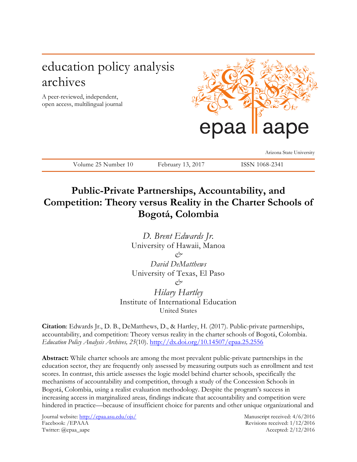# education policy analysis archives

A peer-reviewed, independent, open access, multilingual journal



Arizona State University

Volume 25 Number 10 February 13, 2017 ISSN 1068-2341

## **Public-Private Partnerships, Accountability, and Competition: Theory versus Reality in the Charter Schools of Bogotá, Colombia**

*D. Brent Edwards Jr.* University of Hawaii, Manoa *& David DeMatthews* University of Texas, El Paso *& Hilary Hartley*

Institute of International Education United States

**Citation**: Edwards Jr., D. B., DeMatthews, D., & Hartley, H. (2017). Public-private partnerships, accountability, and competition: Theory versus reality in the charter schools of Bogotá, Colombia. *Education Policy Analysis Archives, 25*(10).<http://dx.doi.org/10.14507/epaa.25.2556>

**Abstract:** While charter schools are among the most prevalent public-private partnerships in the education sector, they are frequently only assessed by measuring outputs such as enrollment and test scores. In contrast, this article assesses the logic model behind charter schools, specifically the mechanisms of accountability and competition, through a study of the Concession Schools in Bogotá, Colombia, using a realist evaluation methodology. Despite the program's success in increasing access in marginalized areas, findings indicate that accountability and competition were hindered in practice—because of insufficient choice for parents and other unique organizational and

Journal website:<http://epaa.asu.edu/ojs/> Manuscript received: 4/6/2016 Facebook: /EPAAA Revisions received: 1/12/2016 Twitter: @epaa\_aape Accepted: 2/12/2016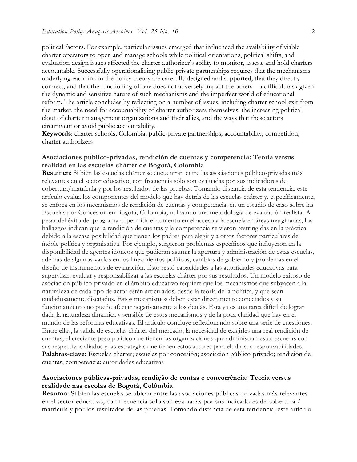political factors. For example, particular issues emerged that influenced the availability of viable charter operators to open and manage schools while political orientations, political shifts, and evaluation design issues affected the charter authorizer's ability to monitor, assess, and hold charters accountable. Successfully operationalizing public-private partnerships requires that the mechanisms underlying each link in the policy theory are carefully designed and supported, that they directly connect, and that the functioning of one does not adversely impact the others—a difficult task given the dynamic and sensitive nature of such mechanisms and the imperfect world of educational reform. The article concludes by reflecting on a number of issues, including charter school exit from the market, the need for accountability of charter authorizers themselves, the increasing political clout of charter management organizations and their allies, and the ways that these actors circumvent or avoid public accountability.

**Keywords**: charter schools; Colombia; public-private partnerships; accountability; competition; charter authorizers

## **Asociaciones público-privadas, rendición de cuentas y competencia: Teoría versus realidad en las escuelas chárter de Bogotá, Colombia**

**Resumen:** Si bien las escuelas chárter se encuentran entre las asociaciones público-privadas más relevantes en el sector educativo, con frecuencia sólo son evaluadas por sus indicadores de cobertura/matrícula y por los resultados de las pruebas. Tomando distancia de esta tendencia, este artículo evalúa los componentes del modelo que hay detrás de las escuelas chárter y, específicamente, se enfoca en los mecanismos de rendición de cuentas y competencia, en un estudio de caso sobre las Escuelas por Concesión en Bogotá, Colombia, utilizando una metodología de evaluación realista. A pesar del éxito del programa al permitir el aumento en el acceso a la escuela en áreas marginadas, los hallazgos indican que la rendición de cuentas y la competencia se vieron restringidas en la práctica debido a la escasa posibilidad que tienen los padres para elegir y a otros factores particulares de índole política y organizativa. Por ejemplo, surgieron problemas específicos que influyeron en la disponibilidad de agentes idóneos que pudieran asumir la apertura y administración de estas escuelas, además de algunos vacíos en los lineamientos políticos, cambios de gobierno y problemas en el diseño de instrumentos de evaluación. Esto restó capacidades a las autoridades educativas para supervisar, evaluar y responsabilizar a las escuelas chárter por sus resultados. Un modelo exitoso de asociación público-privado en el ámbito educativo requiere que los mecanismos que subyacen a la naturaleza de cada tipo de actor estén articulados, desde la teoría de la política, y que sean cuidadosamente diseñados. Estos mecanismos deben estar directamente conectados y su funcionamiento no puede afectar negativamente a los demás. Esta ya es una tarea difícil de lograr dada la naturaleza dinámica y sensible de estos mecanismos y de la poca claridad que hay en el mundo de las reformas educativas. El artículo concluye reflexionando sobre una serie de cuestiones. Entre ellas, la salida de escuelas chárter del mercado, la necesidad de exigirles una real rendición de cuentas, el creciente peso político que tienen las organizaciones que administran estas escuelas con sus respectivos aliados y las estrategias que tienen estos actores para eludir sus responsabilidades. **Palabras-clave:** Escuelas chárter; escuelas por concesión; asociación público-privado; rendición de cuentas; competencia; autoridades educativas

## **Asociaciones públicas-privadas, rendição de contas e concorrência: Teoria versus realidade nas escolas de Bogotá, Colômbia**

**Resumo:** Si bien las escuelas se ubican entre las asociaciones públicas-privadas más relevantes en el sector educativo, con frecuencia sólo son evaluadas por sus indicadores de cobertura / matrícula y por los resultados de las pruebas. Tomando distancia de esta tendencia, este artículo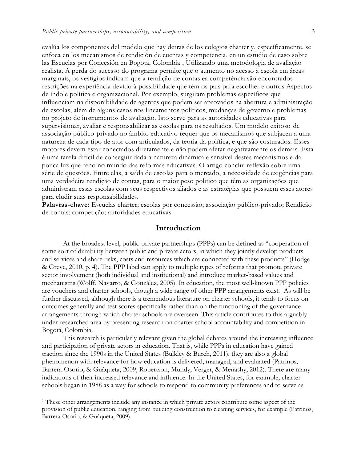evalúa los componentes del modelo que hay detrás de los colegios chárter y, específicamente, se enfoca en los mecanismos de rendición de cuentas y competencia, en un estudio de caso sobre las Escuelas por Concesión en Bogotá, Colombia , Utilizando uma metodologia de avaliação realista. A perda do sucesso do programa permite que o aumento no acesso à escola em áreas marginais, os vestígios indicam que a rendição de contas ea competência são encontrados restrições na experiência devido à possibilidade que têm os pais para escolher e outros Aspectos de índole política e organizacional. Por exemplo, surgiram problemas específicos que influenciam na disponibilidade de agentes que podem ser aprovados na abertura e administração de escolas, além de alguns casos nos lineamentos políticos, mudanças de governo e problemas no projeto de instrumentos de avaliação. Isto serve para as autoridades educativas para supervisionar, avaliar e responsabilizar as escolas para os resultados. Um modelo exitoso de associação público-privado no âmbito educativo requer que os mecanismos que subjacen a uma natureza de cada tipo de ator com articulados, da teoria da política, e que são costurados. Esses motores devem estar conectados diretamente e não podem afetar negativamente os demais. Esta é uma tarefa difícil de conseguir dada a natureza dinâmica e sensível destes mecanismos e da pouca luz que feno no mundo das reformas educativas. O artigo conclui reflexão sobre uma série de questões. Entre elas, a saída de escolas para o mercado, a necessidade de exigências para uma verdadeira rendição de contas, para o maior peso político que têm as organizações que administram essas escolas com seus respectivos aliados e as estratégias que possuem esses atores para eludir suas responsabilidades.

**Palavras-chave:** Escuelas chárter; escolas por concessão; associação público-privado; Rendição de contas; competição; autoridades educativas

## **Introduction**

At the broadest level, public-private partnerships (PPPs) can be defined as "cooperation of some sort of durability between public and private actors, in which they jointly develop products and services and share risks, costs and resources which are connected with these products" (Hodge & Greve, 2010, p. 4). The PPP label can apply to multiple types of reforms that promote private sector involvement (both individual and institutional) and introduce market-based values and mechanisms (Wolff, Navarro, & González, 2005). In education, the most well-known PPP policies are vouchers and charter schools, though a wide range of other PPP arrangements exist.<sup>1</sup> As will be further discussed, although there is a tremendous literature on charter schools, it tends to focus on outcomes generally and test scores specifically rather than on the functioning of the governance arrangements through which charter schools are overseen. This article contributes to this arguably under-researched area by presenting research on charter school accountability and competition in Bogotá, Colombia.

This research is particularly relevant given the global debates around the increasing influence and participation of private actors in education. That is, while PPPs in education have gained traction since the 1990s in the United States (Bulkley & Burch, 2011), they are also a global phenomenon with relevance for how education is delivered, managed, and evaluated (Patrinos, Barrera-Osorio, & Guáqueta, 2009; Robertson, Mundy, Verger, & Menashy, 2012). There are many indications of their increased relevance and influence. In the United States, for example, charter schools began in 1988 as a way for schools to respond to community preferences and to serve as

 $\overline{a}$ 

<sup>&</sup>lt;sup>1</sup> These other arrangements include any instance in which private actors contribute some aspect of the provision of public education, ranging from building construction to cleaning services, for example (Patrinos, Barrera-Osorio, & Guáqueta, 2009).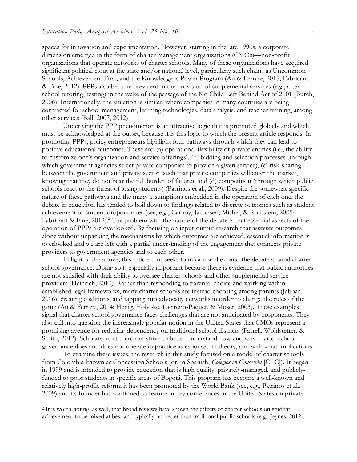spaces for innovation and experimentation. However, starting in the late 1990s, a corporate dimension emerged in the form of charter management organizations (CMOs)—non-profit organizations that operate networks of charter schools. Many of these organizations have acquired significant political clout at the state and/or national level, particularly such chains as Uncommon Schools, Achievement First, and the Knowledge is Power Program (Au & Ferrare, 2015; Fabricant & Fine, 2012). PPPs also became prevalent in the provision of supplemental services (e.g., afterschool tutoring, testing) in the wake of the passage of the No Child Left Behind Act of 2001 (Burch, 2006). Internationally, the situation is similar, where companies in many countries are being contracted for school management, learning technologies, data analysis, and teacher training, among other services (Ball, 2007, 2012).

Underlying the PPP phenomenon is an attractive logic that is promoted globally and which must be acknowledged at the outset, because it is this logic to which the present article responds. In promoting PPPs, policy entrepreneurs highlight four pathways through which they can lead to positive educational outcomes. These are: (a) operational flexibility of private entities (i.e., the ability to customize one's organization and service offerings), (b) bidding and selection processes (through which government agencies select private companies to provide a given service), (c) risk-sharing between the government and private sector (such that private companies will enter the market, knowing that they do not bear the full burden of failure), and (d) competition (through which public schools react to the threat of losing students) (Patrinos et al., 2009). Despite the somewhat specific nature of these pathways and the many assumptions embedded in the operation of each one, the debate in education has tended to boil down to findings related to discrete outcomes such as student achievement or student dropout rates (see, e.g., Carnoy, Jacobsen, Mishel, & Rothstein, 2005; Fabricant & Fine, 2012).<sup>2</sup> The problem with the nature of the debate is that essential aspects of the operation of PPPs are overlooked. By focusing on input-output research that assesses outcomes alone without unpacking the mechanisms by which outcomes are achieved, essential information is overlooked and we are left with a partial understanding of the engagement that connects private providers to government agencies and to each other.

In light of the above, this article thus seeks to inform and expand the debate around charter school governance. Doing so is especially important because there is evidence that public authorities are not satisfied with their ability to oversee charter schools and other supplemental service providers (Heinrich, 2010). Rather than responding to parental choice and working within established legal frameworks, many charter schools are instead choosing among parents (Jabbar, 2016), creating coalitions, and tapping into advocacy networks in order to change the rules of the game (Au & Ferrare, 2014; Henig, Holyoke, Lacireno-Paquet, & Moser, 2003). These examples signal that charter school governance faces challenges that are not anticipated by proponents. They also call into question the increasingly popular notion in the United States that CMOs represent a promising avenue for reducing dependency on traditional school districts (Farrell, Wohlstetter, & Smith, 2012). Scholars must therefore strive to better understand how and why charter school governance does and does not operate in practice as espoused in theory, and with what implications.

To examine these issues, the research in this study focused on a model of charter schools from Colombia known as Concession Schools (or, in Spanish, *Colegios en Concesión* [CEC]). It began in 1999 and is intended to provide education that is high quality, privately-managed, and publiclyfunded to poor students in specific areas of Bogotá. This program has become a well-known and relatively high-profile reform; it has been promoted by the World Bank (see, e.g., Patrinos et al., 2009) and its founder has continued to feature in key conferences in the United States on private

 $\overline{a}$ 

<sup>2</sup> It is worth noting, as well, that broad reviews have shown the effects of charter schools on student achievement to be mixed at best and typically no better than traditional public schools (e.g., Jeynes, 2012).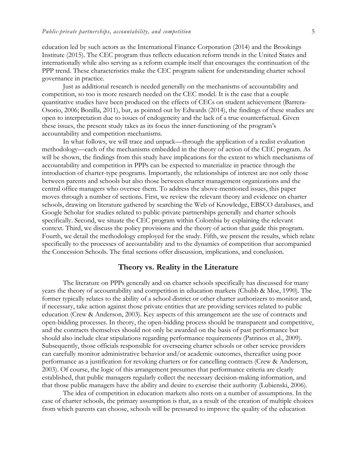education led by such actors as the International Finance Corporation (2014) and the Brookings Institute (2015). The CEC program thus reflects education reform trends in the United States and internationally while also serving as a reform example itself that encourages the continuation of the PPP trend. These characteristics make the CEC program salient for understanding charter school governance in practice.

Just as additional research is needed generally on the mechanisms of accountability and competition, so too is more research needed on the CEC model. It is the case that a couple quantitative studies have been produced on the effects of CECs on student achievement (Barrera-Osorio, 2006; Bonilla, 2011), but, as pointed out by Edwards (2014), the findings of these studies are open to interpretation due to issues of endogeneity and the lack of a true counterfactual. Given these issues, the present study takes as its focus the inner-functioning of the program's accountability and competition mechanisms.

In what follows, we will trace and unpack—through the application of a realist evaluation methodology—each of the mechanisms embedded in the theory of action of the CEC program. As will be shown, the findings from this study have implications for the extent to which mechanisms of accountability and competition in PPPs can be expected to materialize in practice through the introduction of charter-type programs. Importantly, the relationships of interest are not only those between parents and schools but also those between charter management organizations and the central office managers who oversee them. To address the above-mentioned issues, this paper moves through a number of sections. First, we review the relevant theory and evidence on charter schools, drawing on literature gathered by searching the Web of Knowledge, EBSCO databases, and Google Scholar for studies related to public-private partnerships generally and charter schools specifically. Second, we situate the CEC program within Colombia by explaining the relevant context. Third, we discuss the policy provisions and the theory of action that guide this program. Fourth, we detail the methodology employed for the study. Fifth, we present the results, which relate specifically to the processes of accountability and to the dynamics of competition that accompanied the Concession Schools. The final sections offer discussion, implications, and conclusion.

#### **Theory vs. Reality in the Literature**

The literature on PPPs generally and on charter schools specifically has discussed for many years the theory of accountability and competition in education markets (Chubb & Moe, 1990). The former typically relates to the ability of a school district or other charter authorizers to monitor and, if necessary, take action against those private entities that are providing services related to public education (Crew & Anderson, 2003). Key aspects of this arrangement are the use of contracts and open-bidding processes. In theory, the open-bidding process should be transparent and competitive, and the contracts themselves should not only be awarded on the basis of past performance but should also include clear stipulations regarding performance requirements (Patrinos et al., 2009). Subsequently, those officials responsible for overseeing charter schools or other service providers can carefully monitor administrative behavior and/or academic outcomes, thereafter using poor performance as a justification for revoking charters or for cancelling contracts (Crew & Anderson, 2003). Of course, the logic of this arrangement presumes that performance criteria are clearly established, that public managers regularly collect the necessary decision-making information, and that those public managers have the ability and desire to exercise their authority (Lubienski, 2006).

The idea of competition in education markets also rests on a number of assumptions. In the case of charter schools, the primary assumption is that, as a result of the creation of multiple choices from which parents can choose, schools will be pressured to improve the quality of the education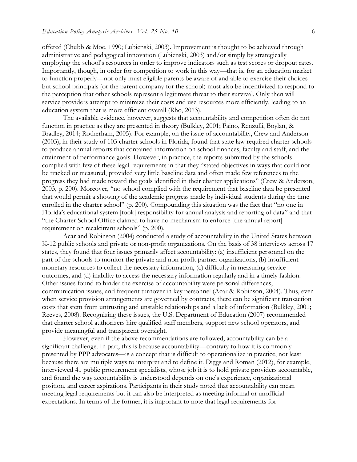offered (Chubb & Moe, 1990; Lubienski, 2003). Improvement is thought to be achieved through administrative and pedagogical innovation (Lubienski, 2003) and/or simply by strategically employing the school's resources in order to improve indicators such as test scores or dropout rates. Importantly, though, in order for competition to work in this way—that is, for an education market to function properly—not only must eligible parents be aware of and able to exercise their choices but school principals (or the parent company for the school) must also be incentivized to respond to the perception that other schools represent a legitimate threat to their survival. Only then will service providers attempt to minimize their costs and use resources more efficiently, leading to an education system that is more efficient overall (Rho, 2013).

The available evidence, however, suggests that accountability and competition often do not function in practice as they are presented in theory (Bulkley, 2001; Paino, Renzulli, Boylan, & Bradley, 2014; Rotherham, 2005). For example, on the issue of accountability, Crew and Anderson (2003), in their study of 103 charter schools in Florida, found that state law required charter schools to produce annual reports that contained information on school finances, faculty and staff, and the attainment of performance goals. However, in practice, the reports submitted by the schools complied with few of these legal requirements in that they "stated objectives in ways that could not be tracked or measured, provided very little baseline data and often made few references to the progress they had made toward the goals identified in their charter applications" (Crew & Anderson, 2003, p. 200). Moreover, "no school complied with the requirement that baseline data be presented that would permit a showing of the academic progress made by individual students during the time enrolled in the charter school" (p. 200). Compounding this situation was the fact that "no one in Florida's educational system [took] responsibility for annual analysis and reporting of data" and that "the Charter School Office claimed to have no mechanism to enforce [the annual report] requirement on recalcitrant schools" (p. 200).

Acar and Robinson (2004) conducted a study of accountability in the United States between K-12 public schools and private or non-profit organizations. On the basis of 38 interviews across 17 states, they found that four issues primarily affect accountability: (a) insufficient personnel on the part of the schools to monitor the private and non-profit partner organizations, (b) insufficient monetary resources to collect the necessary information, (c) difficulty in measuring service outcomes, and (d) inability to access the necessary information regularly and in a timely fashion. Other issues found to hinder the exercise of accountability were personal differences, communication issues, and frequent turnover in key personnel (Acar & Robinson, 2004). Thus, even when service provision arrangements are governed by contracts, there can be significant transaction costs that stem from untrusting and unstable relationships and a lack of information (Bulkley, 2001; Reeves, 2008). Recognizing these issues, the U.S. Department of Education (2007) recommended that charter school authorizers hire qualified staff members, support new school operators, and provide meaningful and transparent oversight.

However, even if the above recommendations are followed, accountability can be a significant challenge. In part, this is because accountability—contrary to how it is commonly presented by PPP advocates—is a concept that is difficult to operationalize in practice, not least because there are multiple ways to interpret and to define it. Diggs and Roman (2012), for example, interviewed 41 public procurement specialists, whose job it is to hold private providers accountable, and found the way accountability is understood depends on one's experience, organizational position, and career aspirations. Participants in their study noted that accountability can mean meeting legal requirements but it can also be interpreted as meeting informal or unofficial expectations. In terms of the former, it is important to note that legal requirements for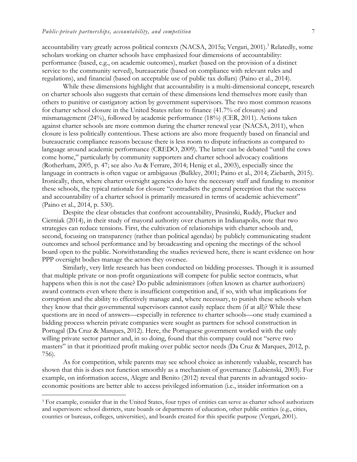accountability vary greatly across political contexts (NACSA, 2015a; Vergari, 2001).<sup>3</sup> Relatedly, some scholars working on charter schools have emphasized four dimensions of accountability: performance (based, e.g., on academic outcomes), market (based on the provision of a distinct service to the community served), bureaucratic (based on compliance with relevant rules and regulations), and financial (based on acceptable use of public tax dollars) (Paino et al., 2014).

While these dimensions highlight that accountability is a multi-dimensional concept, research on charter schools also suggests that certain of these dimensions lend themselves more easily than others to punitive or castigatory action by government supervisors. The two most common reasons for charter school closure in the United States relate to finance (41.7% of closures) and mismanagement (24%), followed by academic performance (18%) (CER, 2011). Actions taken against charter schools are more common during the charter renewal year (NACSA, 2011), when closure is less politically contentious. These actions are also more frequently based on financial and bureaucratic compliance reasons because there is less room to dispute infractions as compared to language around academic performance (CREDO, 2009). The latter can be debated "until the cows come home," particularly by community supporters and charter school advocacy coalitions (Rotherham, 2005, p. 47; see also Au & Ferrare, 2014; Henig et al., 2003), especially since the language in contracts is often vague or ambiguous (Bulkley, 2001; Paino et al., 2014; Ziebarth, 2015). Ironically, then, where charter oversight agencies do have the necessary staff and funding to monitor these schools, the typical rationale for closure "contradicts the general perception that the success and accountability of a charter school is primarily measured in terms of academic achievement" (Paino et al., 2014, p. 530).

Despite the clear obstacles that confront accountability, Prusinski, Ruddy, Plucker and Cierniak (2014), in their study of mayoral authority over charters in Indianapolis, note that two strategies can reduce tensions. First, the cultivation of relationships with charter schools and, second, focusing on transparency (rather than political agendas) by publicly communicating student outcomes and school performance and by broadcasting and opening the meetings of the school board open to the public. Notwithstanding the studies reviewed here, there is scant evidence on how PPP oversight bodies manage the actors they oversee.

Similarly, very little research has been conducted on bidding processes. Though it is assumed that multiple private or non-profit organizations will compete for public sector contracts, what happens when this is not the case? Do public administrators (often known as charter authorizers) award contracts even where there is insufficient competition and, if so, with what implications for corruption and the ability to effectively manage and, where necessary, to punish these schools when they know that their governmental supervisors cannot easily replace them (if at all)? While these questions are in need of answers—especially in reference to charter schools—one study examined a bidding process wherein private companies were sought as partners for school construction in Portugal (Da Cruz & Marques, 2012). Here, the Portuguese government worked with the only willing private sector partner and, in so doing, found that this company could not "serve two masters" in that it prioritized profit making over public sector needs (Da Cruz & Marques, 2012, p. 756).

As for competition, while parents may see school choice as inherently valuable, research has shown that this is does not function smoothly as a mechanism of governance (Lubienski, 2003). For example, on information access, Alegre and Benito (2012) reveal that parents in advantaged socioeconomic positions are better able to access privileged information (i.e., insider information on a

 $\overline{a}$ 

<sup>3</sup> For example, consider that in the United States, four types of entities can serve as charter school authorizers and supervisors: school districts, state boards or departments of education, other public entities (e.g., cities, counties or bureaus, colleges, universities), and boards created for this specific purpose (Vergari, 2001).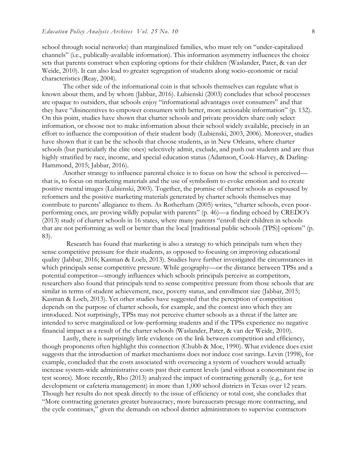school through social networks) than marginalized families, who must rely on "under-capitalized channels" (i.e., publically-available information). This information asymmetry influences the choice sets that parents construct when exploring options for their children (Waslander, Pater, & van der Weide, 2010). It can also lead to greater segregation of students along socio-economic or racial characteristics (Reay, 2004).

The other side of the informational coin is that schools themselves can regulate what is known about them, and by whom (Jabbar, 2016). Lubienski (2003) concludes that school processes are opaque to outsiders, that schools enjoy "informational advantages over consumers" and that they have "disincentives to empower consumers with better, more actionable information" (p. 132). On this point, studies have shown that charter schools and private providers share only select information, or choose not to make information about their school widely available, precisely in an effort to influence the composition of their student body (Lubienski, 2003, 2006). Moreover, studies have shown that it can be the schools that choose students, as in New Orleans, where charter schools (but particularly the elite ones) selectively admit, exclude, and push out students and are thus highly stratified by race, income, and special education status (Adamson, Cook-Harvey, & Darling-Hammond, 2015; Jabbar, 2016).

Another strategy to influence parental choice is to focus on how the school is perceived that is, to focus on marketing materials and the use of symbolism to evoke emotion and to create positive mental images (Lubienski, 2003). Together, the promise of charter schools as espoused by reformers and the positive marketing materials generated by charter schools themselves may contribute to parents' allegiance to them. As Rotherham (2005) writes, "charter schools, even poorperforming ones, are proving wildly popular with parents" (p. 46)—a finding echoed by CREDO's (2013) study of charter schools in 16 states, where many parents "enroll their children in schools that are not performing as well or better than the local [traditional public schools (TPS)] options" (p. 83).

 Research has found that marketing is also a strategy to which principals turn when they sense competitive pressure for their students, as opposed to focusing on improving educational quality (Jabbar, 2016; Kasman & Loeb, 2013). Studies have further investigated the circumstances in which principals sense competitive pressure. While geography—or the distance between TPSs and a potential competitor—strongly influences which schools principals perceive as competitors, researchers also found that principals tend to sense competitive pressure from those schools that are similar in terms of student achievement, race, poverty status, and enrollment size (Jabbar, 2015; Kasman & Loeb, 2013). Yet other studies have suggested that the perception of competition depends on the purpose of charter schools, for example, and the context into which they are introduced. Not surprisingly, TPSs may not perceive charter schools as a threat if the latter are intended to serve marginalized or low-performing students and if the TPSs experience no negative financial impact as a result of the charter schools (Waslander, Pater, & van der Weide, 2010).

Lastly, there is surprisingly little evidence on the link between competition and efficiency, though proponents often highlight this connection (Chubb & Moe, 1990). What evidence does exist suggests that the introduction of market mechanisms does not induce cost savings. Levin (1998), for example, concluded that the costs associated with overseeing a system of vouchers would actually increase system-wide administrative costs past their current levels (and without a concomitant rise in test scores). More recently, Rho (2013) analyzed the impact of contracting generally (e.g., for test development or cafeteria management) in more than 1,000 school districts in Texas over 12 years. Though her results do not speak directly to the issue of efficiency or total cost, she concludes that "More contracting generates greater bureaucracy, more bureaucrats presage more contracting, and the cycle continues," given the demands on school district administrators to supervise contractors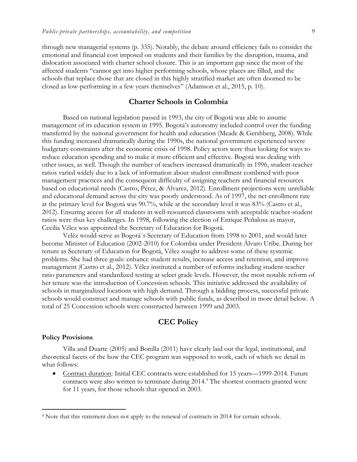through new managerial systems (p. 335). Notably, the debate around efficiency fails to consider the emotional and financial cost imposed on students and their families by the disruption, trauma, and dislocation associated with charter school closure. This is an important gap since the most of the affected students "cannot get into higher performing schools, whose places are filled, and the schools that replace those that are closed in this highly stratified market are often doomed to be closed as low-performing in a few years themselves" (Adamson et al., 2015, p. 10).

## **Charter Schools in Colombia**

Based on national legislation passed in 1993, the city of Bogotá was able to assume management of its education system in 1995. Bogotá's autonomy included control over the funding transferred by the national government for health and education (Meade & Gershberg, 2008). While this funding increased dramatically during the 1990s, the national government experienced severe budgetary constraints after the economic crisis of 1998. Policy actors were thus looking for ways to reduce education spending and to make it more efficient and effective. Bogotá was dealing with other issues, as well. Though the number of teachers increased dramatically in 1996, student-teacher ratios varied widely due to a lack of information about student enrollment combined with poor management practices and the consequent difficulty of assigning teachers and financial resources based on educational needs (Castro, Pérez, & Alvarez, 2012). Enrollment projections were unreliable and educational demand across the city was poorly understood. As of 1997, the net enrollment rate at the primary level for Bogotá was 90.7%, while at the secondary level it was 83% (Castro et al., 2012). Ensuring access for all students in well-resourced classrooms with acceptable teacher-student ratios were thus key challenges. In 1998, following the election of Enrique Peñalosa as mayor, Cecilia Vélez was appointed the Secretary of Education for Bogotá.

Veléz would serve as Bogotá´s Secretary of Education from 1998 to 2001, and would later become Minister of Education (2002-2010) for Colombia under President Álvaro Uribe. During her tenure as Secretary of Education for Bogotá, Vélez sought to address some of these systemic problems. She had three goals: enhance student results, increase access and retention, and improve management (Castro et al., 2012). Vélez instituted a number of reforms including student-teacher ratio parameters and standardized testing at select grade levels. However, the most notable reform of her tenure was the introduction of Concession schools. This initiative addressed the availability of schools in marginalized locations with high demand. Through a bidding process, successful private schools would construct and manage schools with public funds, as described in more detail below. A total of 25 Concession schools were constructed between 1999 and 2003.

## **CEC Policy**

#### **Policy Provisions**

 $\overline{a}$ 

Villa and Duarte (2005) and Bonilla (2011) have clearly laid out the legal, institutional, and theoretical facets of the how the CEC program was supposed to work, each of which we detail in what follows:

 Contract duration: Initial CEC contracts were established for 15 years—1999-2014. Future contracts were also written to terminate during 2014.<sup>4</sup> The shortest contracts granted were for 11 years, for those schools that opened in 2003.

<sup>4</sup> Note that this statement does not apply to the renewal of contracts in 2014 for certain schools.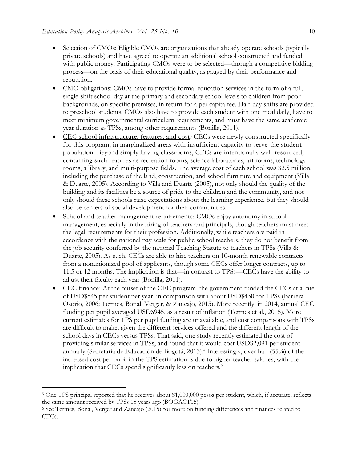- Selection of CMOs: Eligible CMOs are organizations that already operate schools (typically private schools) and have agreed to operate an additional school constructed and funded with public money. Participating CMOs were to be selected—through a competitive bidding process—on the basis of their educational quality, as gauged by their performance and reputation.
- CMO obligations: CMOs have to provide formal education services in the form of a full, single-shift school day at the primary and secondary school levels to children from poor backgrounds, on specific premises, in return for a per capita fee. Half-day shifts are provided to preschool students. CMOs also have to provide each student with one meal daily, have to meet minimum governmental curriculum requirements, and must have the same academic year duration as TPSs, among other requirements (Bonilla, 2011).
- CEC school infrastructure, features, and cost*:* CECs were newly constructed specifically for this program, in marginalized areas with insufficient capacity to serve the student population. Beyond simply having classrooms, CECs are intentionally well-resourced, containing such features as recreation rooms, science laboratories, art rooms, technology rooms, a library, and multi-purpose fields. The average cost of each school was \$2.5 million, including the purchase of the land, construction, and school furniture and equipment (Villa & Duarte, 2005). According to Villa and Duarte (2005), not only should the quality of the building and its facilities be a source of pride to the children and the community, and not only should these schools raise expectations about the learning experience, but they should also be centers of social development for their communities.
- School and teacher management requirements: CMOs enjoy autonomy in school management, especially in the hiring of teachers and principals, though teachers must meet the legal requirements for their profession. Additionally, while teachers are paid in accordance with the national pay scale for public school teachers, they do not benefit from the job security conferred by the national Teaching Statute to teachers in TPSs (Villa & Duarte, 2005). As such, CECs are able to hire teachers on 10-month renewable contracts from a nonunionized pool of applicants, though some CECs offer longer contracts, up to 11.5 or 12 months. The implication is that—in contrast to TPSs—CECs have the ability to adjust their faculty each year (Bonilla, 2011).
- CEC finance: At the outset of the CEC program, the government funded the CECs at a rate of USD\$545 per student per year, in comparison with about USD\$430 for TPSs (Barrera-Osorio, 2006; Termes, Bonal, Verger, & Zancajo, 2015). More recently, in 2014, annual CEC funding per pupil averaged USD\$945, as a result of inflation (Termes et al., 2015). More current estimates for TPS per pupil funding are unavailable, and cost comparisons with TPSs are difficult to make, given the different services offered and the different length of the school days in CECs versus TPSs. That said, one study recently estimated the cost of providing similar services in TPSs, and found that it would cost USD\$2,091 per student annually (Secretaría de Educación de Bogotá, 2013).<sup>5</sup> Interestingly, over half (55%) of the increased cost per pupil in the TPS estimation is due to higher teacher salaries, with the implication that CECs spend significantly less on teachers.<sup>6</sup>

 $\overline{a}$ 

<sup>5</sup> One TPS principal reported that he receives about \$1,000,000 pesos per student, which, if accurate, reflects the same amount received by TPSs 15 years ago (BOGACT15).

<sup>6</sup> See Termes, Bonal, Verger and Zancajo (2015) for more on funding differences and finances related to CECs.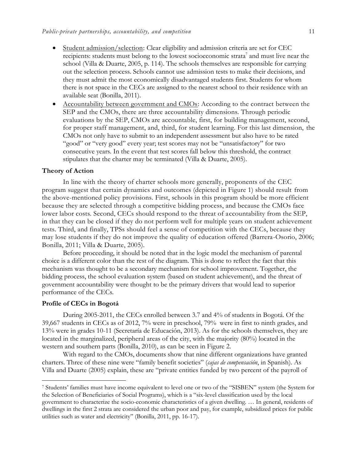- Student admission/selection: Clear eligibility and admission criteria are set for CEC recipients: students must belong to the lowest socioeconomic strata<sup>7</sup> and must live near the school (Villa & Duarte, 2005, p. 114). The schools themselves are responsible for carrying out the selection process. Schools cannot use admission tests to make their decisions, and they must admit the most economically disadvantaged students first. Students for whom there is not space in the CECs are assigned to the nearest school to their residence with an available seat (Bonilla, 2011).
- Accountability between government and CMOs: According to the contract between the SEP and the CMOs, there are three accountability dimensions. Through periodic evaluations by the SEP, CMOs are accountable, first, for building management, second, for proper staff management, and, third, for student learning. For this last dimension, the CMOs not only have to submit to an independent assessment but also have to be rated "good" or "very good" every year; test scores may not be "unsatisfactory" for two consecutive years. In the event that test scores fall below this threshold, the contract stipulates that the charter may be terminated (Villa & Duarte, 2005).

#### **Theory of Action**

In line with the theory of charter schools more generally, proponents of the CEC program suggest that certain dynamics and outcomes (depicted in Figure 1) should result from the above-mentioned policy provisions. First, schools in this program should be more efficient because they are selected through a competitive bidding process, and because the CMOs face lower labor costs. Second, CECs should respond to the threat of accountability from the SEP, in that they can be closed if they do not perform well for multiple years on student achievement tests. Third, and finally, TPSs should feel a sense of competition with the CECs, because they may lose students if they do not improve the quality of education offered (Barrera-Osorio, 2006; Bonilla, 2011; Villa & Duarte, 2005).

Before proceeding, it should be noted that in the logic model the mechanism of parental choice is a different color than the rest of the diagram. This is done to reflect the fact that this mechanism was thought to be a secondary mechanism for school improvement. Together, the bidding process, the school evaluation system (based on student achievement), and the threat of government accountability were thought to be the primary drivers that would lead to superior performance of the CECs.

#### **Profile of CECs in Bogotá**

 $\overline{a}$ 

During 2005-2011, the CECs enrolled between 3.7 and 4% of students in Bogotá. Of the 39,667 students in CECs as of 2012, 7% were in preschool, 79% were in first to ninth grades, and 13% were in grades 10-11 (Secretaría de Educación, 2013). As for the schools themselves, they are located in the marginalized, peripheral areas of the city, with the majority (80%) located in the western and southern parts (Bonilla, 2010), as can be seen in Figure 2.

With regard to the CMOs, documents show that nine different organizations have granted charters. Three of these nine were "family benefit societies" (*cajas de compensación*, in Spanish). As Villa and Duarte (2005) explain, these are "private entities funded by two percent of the payroll of

<sup>7</sup> Students' families must have income equivalent to level one or two of the "SISBEN" system (the System for the Selection of Beneficiaries of Social Programs), which is a "six-level classification used by the local government to characterize the socio-economic characteristics of a given dwelling. … In general, residents of dwellings in the first 2 strata are considered the urban poor and pay, for example, subsidized prices for public utilities such as water and electricity" (Bonilla, 2011, pp. 16-17).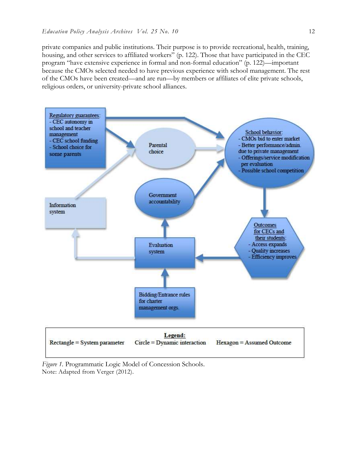private companies and public institutions. Their purpose is to provide recreational, health, training, housing, and other services to affiliated workers" (p. 122). Those that have participated in the CEC program "have extensive experience in formal and non-formal education" (p. 122)—important because the CMOs selected needed to have previous experience with school management. The rest of the CMOs have been created—and are run—by members or affiliates of elite private schools, religious orders, or university-private school alliances.



*Figure 1.* Programmatic Logic Model of Concession Schools. Note: Adapted from Verger (2012).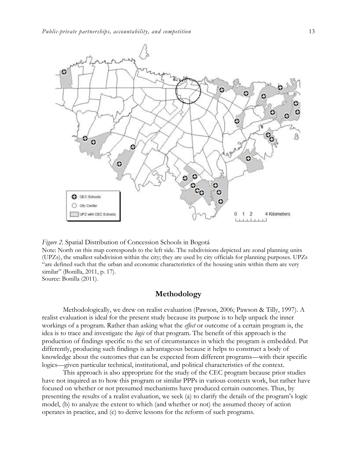

*Figure 2.* Spatial Distribution of Concession Schools in Bogotá Note: North on this map corresponds to the left side. The subdivisions depicted are zonal planning units (UPZs), the smallest subdivision within the city; they are used by city officials for planning purposes. UPZs "are defined such that the urban and economic characteristics of the housing units within them are very similar" (Bonilla, 2011, p. 17). Source: Bonilla (2011).

## **Methodology**

Methodologically, we drew on realist evaluation (Pawson, 2006; Pawson & Tilly, 1997). A realist evaluation is ideal for the present study because its purpose is to help unpack the inner workings of a program. Rather than asking what the *effect* or outcome of a certain program is, the idea is to trace and investigate the *logic* of that program. The benefit of this approach is the production of findings specific to the set of circumstances in which the program is embedded. Put differently, producing such findings is advantageous because it helps to construct a body of knowledge about the outcomes that can be expected from different programs—with their specific logics—given particular technical, institutional, and political characteristics of the context.

This approach is also appropriate for the study of the CEC program because prior studies have not inquired as to how this program or similar PPPs in various contexts work, but rather have focused on whether or not presumed mechanisms have produced certain outcomes. Thus, by presenting the results of a realist evaluation, we seek (a) to clarify the details of the program's logic model, (b) to analyze the extent to which (and whether or not) the assumed theory of action operates in practice, and (c) to derive lessons for the reform of such programs.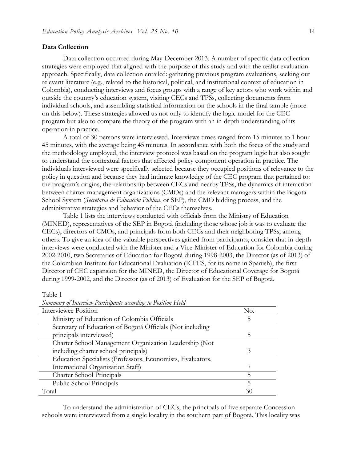#### **Data Collection**

Table 1

Data collection occurred during May-December 2013. A number of specific data collection strategies were employed that aligned with the purpose of this study and with the realist evaluation approach. Specifically, data collection entailed: gathering previous program evaluations, seeking out relevant literature (e.g., related to the historical, political, and institutional context of education in Colombia), conducting interviews and focus groups with a range of key actors who work within and outside the country's education system, visiting CECs and TPSs, collecting documents from individual schools, and assembling statistical information on the schools in the final sample (more on this below). These strategies allowed us not only to identify the logic model for the CEC program but also to compare the theory of the program with an in-depth understanding of its operation in practice.

A total of 30 persons were interviewed. Interviews times ranged from 15 minutes to 1 hour 45 minutes, with the average being 45 minutes. In accordance with both the focus of the study and the methodology employed, the interview protocol was based on the program logic but also sought to understand the contextual factors that affected policy component operation in practice. The individuals interviewed were specifically selected because they occupied positions of relevance to the policy in question and because they had intimate knowledge of the CEC program that pertained to: the program's origins, the relationship between CECs and nearby TPSs, the dynamics of interaction between charter management organizations (CMOs) and the relevant managers within the Bogotá School System (*Secretaria de Educación Publica*, or SEP), the CMO bidding process, and the administrative strategies and behavior of the CECs themselves.

Table 1 lists the interviews conducted with officials from the Ministry of Education (MINED), representatives of the SEP in Bogotá (including those whose job it was to evaluate the CECs), directors of CMOs, and principals from both CECs and their neighboring TPSs, among others. To give an idea of the valuable perspectives gained from participants, consider that in-depth interviews were conducted with the Minister and a Vice-Minister of Education for Colombia during 2002-2010, two Secretaries of Education for Bogotá during 1998-2003, the Director (as of 2013) of the Colombian Institute for Educational Evaluation (ICFES, for its name in Spanish), the first Director of CEC expansion for the MINED, the Director of Educational Coverage for Bogotá during 1999-2002, and the Director (as of 2013) of Evaluation for the SEP of Bogotá.

| Summary of Interview 1 arrivgants according to 1 ostron 1 feta |     |
|----------------------------------------------------------------|-----|
| Interviewee Position                                           | No. |
| Ministry of Education of Colombia Officials                    | 5   |
| Secretary of Education of Bogotá Officials (Not including      |     |
| principals interviewed)                                        | 5   |
| Charter School Management Organization Leadership (Not         |     |
| including charter school principals)                           | 3   |
| Education Specialists (Professors, Economists, Evaluators,     |     |
| International Organization Staff)                              |     |
| Charter School Principals                                      |     |
| Public School Principals                                       | 5   |
| Total                                                          | 30  |

*Summary of Interview Participants according to Position Held*

To understand the administration of CECs, the principals of five separate Concession schools were interviewed from a single locality in the southern part of Bogotá. This locality was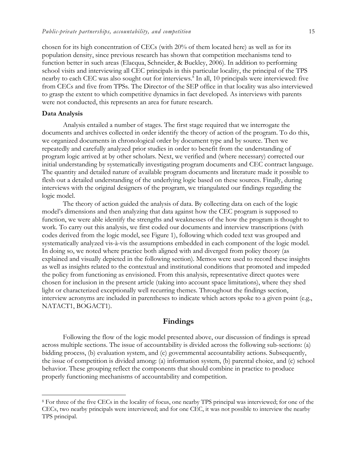chosen for its high concentration of CECs (with 20% of them located here) as well as for its population density, since previous research has shown that competition mechanisms tend to function better in such areas (Elacqua, Schneider, & Buckley, 2006). In addition to performing school visits and interviewing all CEC principals in this particular locality, the principal of the TPS nearby to each CEC was also sought out for interviews.<sup>8</sup> In all, 10 principals were interviewed: five from CECs and five from TPSs. The Director of the SEP office in that locality was also interviewed to grasp the extent to which competitive dynamics in fact developed. As interviews with parents were not conducted, this represents an area for future research.

#### **Data Analysis**

 $\overline{a}$ 

Analysis entailed a number of stages. The first stage required that we interrogate the documents and archives collected in order identify the theory of action of the program. To do this, we organized documents in chronological order by document type and by source. Then we repeatedly and carefully analyzed prior studies in order to benefit from the understanding of program logic arrived at by other scholars. Next, we verified and (where necessary) corrected our initial understanding by systematically investigating program documents and CEC contract language. The quantity and detailed nature of available program documents and literature made it possible to flesh out a detailed understanding of the underlying logic based on these sources. Finally, during interviews with the original designers of the program, we triangulated our findings regarding the logic model.

The theory of action guided the analysis of data. By collecting data on each of the logic model's dimensions and then analyzing that data against how the CEC program is supposed to function, we were able identify the strengths and weaknesses of the how the program is thought to work. To carry out this analysis, we first coded our documents and interview transcriptions (with codes derived from the logic model, see Figure 1), following which coded text was grouped and systematically analyzed vis-à-vis the assumptions embedded in each component of the logic model. In doing so, we noted where practice both aligned with and diverged from policy theory (as explained and visually depicted in the following section). Memos were used to record these insights as well as insights related to the contextual and institutional conditions that promoted and impeded the policy from functioning as envisioned. From this analysis, representative direct quotes were chosen for inclusion in the present article (taking into account space limitations), where they shed light or characterized exceptionally well recurring themes. Throughout the findings section, interview acronyms are included in parentheses to indicate which actors spoke to a given point (e.g., NATACT1, BOGACT1).

## **Findings**

Following the flow of the logic model presented above, our discussion of findings is spread across multiple sections. The issue of accountability is divided across the following sub-sections: (a) bidding process, (b) evaluation system, and (c) governmental accountability actions. Subsequently, the issue of competition is divided among: (a) information system, (b) parental choice, and (c) school behavior. These grouping reflect the components that should combine in practice to produce properly functioning mechanisms of accountability and competition.

<sup>8</sup> For three of the five CECs in the locality of focus, one nearby TPS principal was interviewed; for one of the CECs, two nearby principals were interviewed; and for one CEC, it was not possible to interview the nearby TPS principal.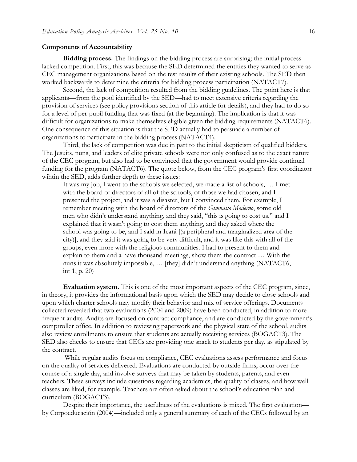#### **Components of Accountability**

**Bidding process.** The findings on the bidding process are surprising; the initial process lacked competition. First, this was because the SED determined the entities they wanted to serve as CEC management organizations based on the test results of their existing schools. The SED then worked backwards to determine the criteria for bidding process participation (NATACT7).

Second, the lack of competition resulted from the bidding guidelines. The point here is that applicants—from the pool identified by the SED—had to meet extensive criteria regarding the provision of services (see policy provisions section of this article for details), and they had to do so for a level of per-pupil funding that was fixed (at the beginning). The implication is that it was difficult for organizations to make themselves eligible given the bidding requirements (NATACT6). One consequence of this situation is that the SED actually had to persuade a number of organizations to participate in the bidding process (NATACT4).

Third, the lack of competition was due in part to the initial skepticism of qualified bidders. The Jesuits, nuns, and leaders of elite private schools were not only confused as to the exact nature of the CEC program, but also had to be convinced that the government would provide continual funding for the program (NATACT6). The quote below, from the CEC program's first coordinator wihtin the SED, adds further depth to these issues:

It was my job, I went to the schools we selected, we made a list of schools, … I met with the board of directors of all of the schools, of those we had chosen, and I presented the project, and it was a disaster, but I convinced them. For example, I remember meeting with the board of directors of the *Gimnasio Moderno*, some old men who didn't understand anything, and they said, "this is going to cost us," and I explained that it wasn't going to cost them anything, and they asked where the school was going to be, and I said in Icará [(a peripheral and marginalized area of the city)], and they said it was going to be very difficult, and it was like this with all of the groups, even more with the religious communities. I had to present to them and explain to them and a have thousand meetings, show them the contract … With the nuns it was absolutely impossible, … [they] didn't understand anything (NATACT6, int 1, p. 20)

**Evaluation system.** This is one of the most important aspects of the CEC program, since, in theory, it provides the informational basis upon which the SED may decide to close schools and upon which charter schools may modify their behavior and mix of service offerings. Documents collected revealed that two evaluations (2004 and 2009) have been conducted, in addition to more frequent audits. Audits are focused on contract compliance, and are conducted by the government's comptroller office. In addition to reviewing paperwork and the physical state of the school, audits also review enrollments to ensure that students are actually receiving services (BOGACT3). The SED also checks to ensure that CECs are providing one snack to students per day, as stipulated by the contract.

While regular audits focus on compliance, CEC evaluations assess performance and focus on the quality of services delivered. Evaluations are conducted by outside firms, occur over the course of a single day, and involve surveys that may be taken by students, parents, and even teachers. These surveys include questions regarding academics, the quality of classes, and how well classes are liked, for example. Teachers are often asked about the school's education plan and curriculum (BOGACT3).

Despite their importance, the usefulness of the evaluations is mixed. The first evaluation by Corpoeducación (2004)—included only a general summary of each of the CECs followed by an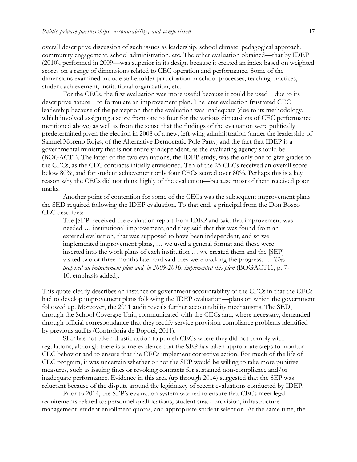overall descriptive discussion of such issues as leadership, school climate, pedagogical approach, community engagement, school administration, etc. The other evaluation obtained—that by IDEP (2010), performed in 2009—was superior in its design because it created an index based on weighted scores on a range of dimensions related to CEC operation and performance. Some of the dimensions examined include stakeholder participation in school processes, teaching practices, student achievement, institutional organization, etc.

For the CECs, the first evaluation was more useful because it could be used—due to its descriptive nature—to formulate an improvement plan. The later evaluation frustrated CEC leadership because of the perception that the evaluation was inadequate (due to its methodology, which involved assigning a score from one to four for the various dimensions of CEC performance mentioned above) as well as from the sense that the findings of the evaluation were politically predetermined given the election in 2008 of a new, left-wing administration (under the leadership of Samuel Moreno Rojas, of the Alternative Democratic Pole Party) and the fact that IDEP is a governmental ministry that is not entirely independent, as the evaluating agency should be (BOGACT1). The latter of the two evaluations, the IDEP study, was the only one to give grades to the CECs, as the CEC contracts initially envisioned. Ten of the 25 CECs received an overall score below 80%, and for student achievement only four CECs scored over 80%. Perhaps this is a key reason why the CECs did not think highly of the evaluation—because most of them received poor marks.

Another point of contention for some of the CECs was the subsequent improvement plans the SED required following the IDEP evaluation. To that end, a principal from the Don Bosco CEC describes:

The [SEP] received the evaluation report from IDEP and said that improvement was needed … institutional improvement, and they said that this was found from an external evaluation, that was supposed to have been independent, and so we implemented improvement plans, … we used a general format and these were inserted into the work plans of each institution … we created them and the [SEP] visited two or three months later and said they were tracking the progress. … *They proposed an improvement plan and, in 2009-2010, implemented this plan* (BOGACT11, p. 7- 10, emphasis added).

This quote clearly describes an instance of government accountability of the CECs in that the CECs had to develop improvement plans following the IDEP evaluation—plans on which the government followed up. Moreover, the 2011 audit reveals further accountability mechanisms. The SED, through the School Coverage Unit, communicated with the CECs and, where necessary, demanded through official correspondance that they rectify service provision compliance problems identified by previous audits (Controloria de Bogotá, 2011).

SEP has not taken drastic action to punish CECs where they did not comply with regulations, although there is some evidence that the SEP has taken appropriate steps to monitor CEC behavior and to ensure that the CECs implement corrective action. For much of the life of CEC program, it was uncertain whether or not the SEP would be willing to take more punitive measures, such as issuing fines or revoking contracts for sustained non-compliance and/or inadequate performance. Evidence in this area (up through 2014) suggested that the SEP was reluctant because of the dispute around the legitimacy of recent evaluations conducted by IDEP.

Prior to 2014, the SEP's evaluation system worked to ensure that CECs meet legal requirements related to: personnel qualifications, student snack provision, infrastructure management, student enrollment quotas, and appropriate student selection. At the same time, the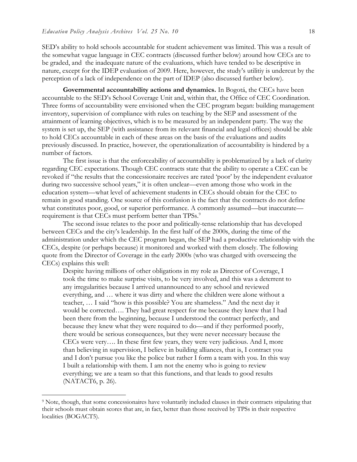SED's ability to hold schools accountable for student achievement was limited. This was a result of the somewhat vague language in CEC contracts (discussed further below) around how CECs are to be graded, and the inadequate nature of the evaluations, which have tended to be descriptive in nature, except for the IDEP evaluation of 2009. Here, however, the study's utilitiy is undercut by the perception of a lack of independence on the part of IDEP (also discussed further below).

**Governmental accountability actions and dynamics.** In Bogotá, the CECs have been accountable to the SED's School Coverage Unit and, within that, the Office of CEC Coordination. Three forms of accountability were envisioned when the CEC program began: building management inventory, supervision of compliance with rules on teaching by the SEP and assessment of the attainment of learning objectives, which is to be measured by an independent party. The way the system is set up, the SEP (with assistance from its relevant financial and legal offices) should be able to hold CECs accountable in each of these areas on the basis of the evaluations and audits previously discussed. In practice, however, the operationalization of accountability is hindered by a number of factors.

The first issue is that the enforceability of accountability is problematized by a lack of clarity regarding CEC expectations. Though CEC contracts state that the ability to operate a CEC can be revoked if "the results that the concessionaire receives are rated 'poor' by the independent evaluator during two successive school years," it is often unclear—even among those who work in the education system—what level of achievement students in CECs should obtain for the CEC to remain in good standing. One source of this confusion is the fact that the contracts do not define what constitutes poor, good, or superior performance. A commonly assumed—but inaccurate requirement is that CECs must perform better than TPSs.<sup>9</sup>

The second issue relates to the poor and politically-tense relationship that has developed between CECs and the city's leadership. In the first half of the 2000s, during the time of the administration under which the CEC program began, the SEP had a productive relationship with the CECs, despite (or perhaps because) it monitored and worked with them closely. The following quote from the Director of Coverage in the early 2000s (who was charged with overseeing the CECs) explains this well:

Despite having millions of other obligations in my role as Director of Coverage, I took the time to make surprise visits, to be very involved, and this was a deterrent to any irregularities because I arrived unannounced to any school and reviewed everything, and … where it was dirty and where the children were alone without a teacher, … I said "how is this possible? You are shameless." And the next day it would be corrected…. They had great respect for me because they knew that I had been there from the beginning, because I understood the contract perfectly, and because they knew what they were required to do—and if they performed poorly, there would be serious consequences, but they were never necessary because the CECs were very…. In these first few years, they were very judicious. And I, more than believing in supervision, I believe in building alliances, that is, I contract you and I don't pursue you like the police but rather I form a team with you. In this way I built a relationship with them. I am not the enemy who is going to review everything; we are a team so that this functions, and that leads to good results (NATACT6, p. 26).

 $\overline{a}$ 

<sup>9</sup> Note, though, that some concessionaires have voluntarily included clauses in their contracts stipulating that their schools must obtain scores that are, in fact, better than those received by TPSs in their respective localities (BOGACT5).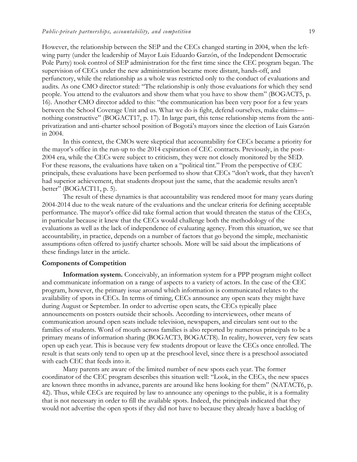However, the relationship between the SEP and the CECs changed starting in 2004, when the leftwing party (under the leadership of Mayor Luis Eduardo Garzón, of the Independent Democratic Pole Party) took control of SEP administration for the first time since the CEC program began. The supervision of CECs under the new administration became more distant, hands-off, and perfunctory, while the relationship as a whole was restricted only to the conduct of evaluations and audits. As one CMO director stated: "The relationship is only those evaluations for which they send people. You attend to the evaluators and show them what you have to show them" (BOGACT5, p. 16). Another CMO director added to this: "the communication has been very poor for a few years between the School Coverage Unit and us. What we do is fight, defend ourselves, make claims nothing constructive" (BOGACT17, p. 17). In large part, this tense relationship stems from the antiprivatization and anti-charter school position of Bogotá's mayors since the election of Luis Garzón in 2004.

In this context, the CMOs were skeptical that accountability for CECs became a priority for the mayor's office in the run-up to the 2014 expiration of CEC contracts. Previously, in the post-2004 era, while the CECs were subject to criticism, they were not closely monitored by the SED. For these reasons, the evaluations have taken on a "political tint." From the perspective of CEC principals, these evaluations have been performed to show that CECs "don't work, that they haven't had superior achievement, that students dropout just the same, that the academic results aren't better" (BOGACT11, p. 5).

The result of these dynamics is that accountability was rendered moot for many years during 2004-2014 due to the weak nature of the evaluations and the unclear criteria for defining acceptable performance. The mayor's office did take formal action that would threaten the status of the CECs, in particular because it knew that the CECs would challenge both the methodology of the evaluations as well as the lack of independence of evaluating agency. From this situation, we see that accountability, in practice, depends on a number of factors that go beyond the simple, mechanistic assumptions often offered to justify charter schools. More will be said about the implications of these findings later in the article.

### **Components of Competition**

**Information system.** Conceivably, an information system for a PPP program might collect and communicate information on a range of aspects to a variety of actors. In the case of the CEC program, however, the primary issue around which information is communicated relates to the availability of spots in CECs. In terms of timing, CECs announce any open seats they might have during August or September. In order to advertise open seats, the CECs typically place announcements on posters outside their schools. According to interviewees, other means of communication around open seats include television, newspapers, and circulars sent out to the families of students. Word of mouth across families is also reported by numerous principals to be a primary means of information sharing (BOGACT3, BOGACT8). In reality, however, very few seats open up each year. This is because very few students dropout or leave the CECs once enrolled. The result is that seats only tend to open up at the preschool level, since there is a preschool associated with each CEC that feeds into it.

Many parents are aware of the limited number of new spots each year. The former coordinator of the CEC program describes this situation well: "Look, in the CECs, the new spaces are known three months in advance, parents are around like hens looking for them" (NATACT6, p. 42). Thus, while CECs are required by law to announce any openings to the public, it is a formality that is not necessary in order to fill the available spots. Indeed, the principals indicated that they would not advertise the open spots if they did not have to because they already have a backlog of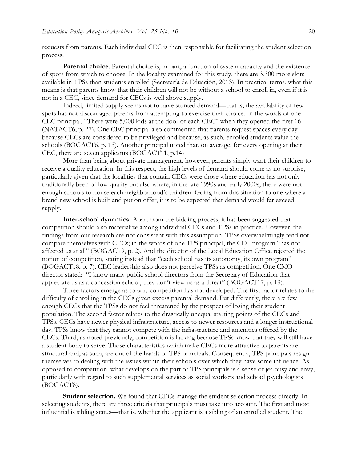requests from parents. Each individual CEC is then responsible for facilitating the student selection process.

**Parental choice**. Parental choice is, in part, a function of system capacity and the existence of spots from which to choose. In the locality examined for this study, there are 3,300 more slots available in TPSs than students enrolled (Secretaría de Eduación, 2013). In practical terms, what this means is that parents know that their children will not be without a school to enroll in, even if it is not in a CEC, since demand for CECs is well above supply.

Indeed, limited supply seems not to have stunted demand—that is, the availability of few spots has not discouraged parents from attempting to exercise their choice. In the words of one CEC principal, "There were 5,000 kids at the door of each CEC" when they opened the first 16 (NATACT6, p. 27). One CEC principal also commented that parents request spaces every day because CECs are considered to be privileged and because, as such, enrolled students value the schools (BOGACT6, p. 13). Another principal noted that, on average, for every opening at their CEC, there are seven applicants (BOGACT11, p.14)

More than being about private management, however, parents simply want their children to receive a quality education. In this respect, the high levels of demand should come as no surprise, particularly given that the localities that contain CECs were those where education has not only traditionally been of low quality but also where, in the late 1990s and early 2000s, there were not enough schools to house each neighborhood's children. Going from this situation to one where a brand new school is built and put on offer, it is to be expected that demand would far exceed supply.

**Inter-school dynamics.** Apart from the bidding process, it has been suggested that competition should also materialize among individual CECs and TPSs in practice. However, the findings from our research are not consistent with this assumption. TPSs overwhelmingly tend not compare themselves with CECs; in the words of one TPS principal, the CEC program "has not affected us at all" (BOGACT9, p. 2). And the director of the Local Education Office rejected the notion of competition, stating instead that "each school has its autonomy, its own program" (BOGACT18, p. 7). CEC leadership also does not perceive TPSs as competition. One CMO director stated: "I know many public school directors from the Secretary of Education that appreciate us as a concession school, they don't view us as a threat" (BOGACT17, p. 19).

Three factors emerge as to why competition has not developed. The first factor relates to the difficulty of enrolling in the CECs given excess parental demand. Put differently, there are few enough CECs that the TPSs do not feel threatened by the prospect of losing their student population. The second factor relates to the drastically unequal starting points of the CECs and TPSs. CECs have newer physical infrastructure, access to newer resources and a longer instructional day. TPSs know that they cannot compete with the infrastructure and amenities offered by the CECs. Third, as noted previously, competition is lacking because TPSs know that they will still have a student body to serve. Those characteristics which make CECs more attractive to parents are structural and, as such, are out of the hands of TPS principals. Consequently, TPS principals resign themselves to dealing with the issues within their schools over which they have some influence. As opposed to competition, what develops on the part of TPS principals is a sense of jealousy and envy, particularly with regard to such supplemental services as social workers and school psychologists (BOGACT8).

**Student selection.** We found that CECs manage the student selection process directly. In selecting students, there are three criteria that principals must take into account. The first and most influential is sibling status—that is, whether the applicant is a sibling of an enrolled student. The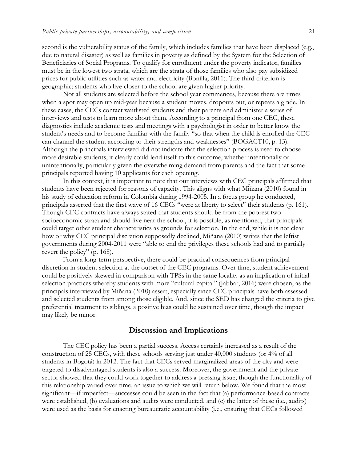second is the vulnerability status of the family, which includes families that have been displaced (e.g., due to natural disaster) as well as families in poverty as defined by the System for the Selection of Beneficiaries of Social Programs. To qualify for enrollment under the poverty indicator, families must be in the lowest two strata, which are the strata of those families who also pay subsidized prices for public utilities such as water and electricity (Bonilla, 2011). The third criterion is geographic; students who live closer to the school are given higher priority.

Not all students are selected before the school year commences, because there are times when a spot may open up mid-year because a student moves, dropouts out, or repeats a grade. In these cases, the CECs contact waitlisted students and their parents and administer a series of interviews and tests to learn more about them. According to a principal from one CEC, these diagnostics include academic tests and meetings with a psychologist in order to better know the student's needs and to become familiar with the family "so that when the child is enrolled the CEC can channel the student according to their strengths and weaknesses" (BOGACT10, p. 13). Although the principals interviewed did not indicate that the selection process is used to choose more desirable students, it clearly could lend itself to this outcome, whether intentionally or unintentionally, particularly given the overwhelming demand from parents and the fact that some principals reported having 10 applicants for each opening.

In this context, it is important to note that our interviews with CEC principals affirmed that students have been rejected for reasons of capacity. This aligns with what Miñana (2010) found in his study of education reform in Colombia during 1994-2005. In a focus group he conducted, principals asserted that the first wave of 16 CECs "were at liberty to select" their students (p. 161). Though CEC contracts have always stated that students should be from the poorest two socioeconomic strata and should live near the school, it is possible, as mentioned, that principals could target other student characteristics as grounds for selection. In the end, while it is not clear how or why CEC principal discretion supposedly declined, Miñana (2010) writes that the leftist governments during 2004-2011 were "able to end the privileges these schools had and to partially revert the policy" (p. 168).

From a long-term perspective, there could be practical consequences from principal discretion in student selection at the outset of the CEC programs. Over time, student achievement could be positively skewed in comparison with TPSs in the same locality as an implication of initial selection practices whereby students with more "cultural capital" (Jabbar, 2016) were chosen, as the principals interviewed by Miñana (2010) assert, especially since CEC principals have both assessed and selected students from among those eligible. And, since the SED has changed the criteria to give preferential treatment to siblings, a positive bias could be sustained over time, though the impact may likely be minor.

## **Discussion and Implications**

The CEC policy has been a partial success. Access certainly increased as a result of the construction of 25 CECs, with these schools serving just under 40,000 students (or 4% of all students in Bogotá) in 2012. The fact that CECs served marginalized areas of the city and were targeted to disadvantaged students is also a success. Moreover, the government and the private sector showed that they could work together to address a pressing issue, though the functionality of this relationship varied over time, an issue to which we will return below. We found that the most significant—if imperfect—successes could be seen in the fact that (a) performance-based contracts were established, (b) evaluations and audits were conducted, and (c) the latter of these (i.e., audits) were used as the basis for enacting bureaucratic accountability (i.e., ensuring that CECs followed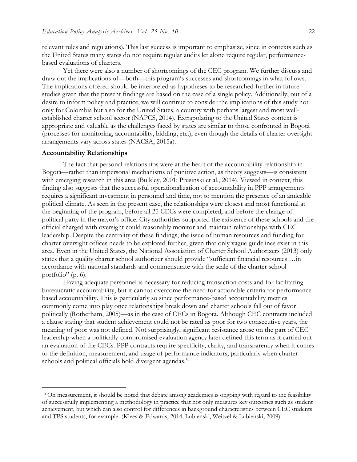relevant rules and regulations). This last success is important to emphasize, since in contexts such as the United States many states do not require regular audits let alone require regular, performancebased evaluations of charters.

Yet there were also a number of shortcomings of the CEC program. We further discuss and draw out the implications of—both—this program's successes and shortcomings in what follows. The implications offered should be interpreted as hypotheses to be researched further in future studies given that the present findings are based on the case of a single policy. Additionally, out of a desire to inform policy and practice, we will continue to consider the implications of this study not only for Colombia but also for the United States, a country with perhaps largest and most wellestablished charter school sector (NAPCS, 2014). Extrapolating to the United States context is appropriate and valuable as the challenges faced by states are similar to those confronted in Bogotá (processes for monitoring, accountability, bidding, etc.), even though the details of charter oversight arrangements vary across states (NACSA, 2015a).

#### **Accountability Relationships**

 $\overline{a}$ 

The fact that personal relationships were at the heart of the accountability relationship in Bogotá—rather than impersonal mechanisms of punitive action, as theory suggests—is consistent with emerging research in this area (Bulkley, 2001; Prusinski et al., 2014). Viewed in context, this finding also suggests that the successful operationalization of accountability in PPP arrangements requires a significant investment in personnel and time, not to mention the presence of an amicable political climate. As seen in the present case, the relationships were closest and most functional at the beginning of the program, before all 25 CECs were completed, and before the change of political party in the mayor's office. City authorities supported the existence of these schools and the official charged with oversight could reasonably monitor and maintain relationships with CEC leadership. Despite the centrality of these findings, the issue of human resources and funding for charter oversight offices needs to be explored further, given that only vague guidelines exist in this area. Even in the United States, the National Association of Charter School Authorizers (2013) only states that a quality charter school authorizer should provide "sufficient financial resources …in accordance with national standards and commensurate with the scale of the charter school portfolio" (p. 6).

Having adequate personnel is necessary for reducing transaction costs and for facilitating bureaucratic accountability, but it cannot overcome the need for actionable criteria for performancebased accountability. This is particularly so since performance-based accountability metrics commonly come into play once relationships break down and charter schools fall out of favor politically (Rotherham, 2005)—as in the case of CECs in Bogotá. Although CEC contracts included a clause stating that student achievement could not be rated as poor for two consecutive years, the meaning of poor was not defined. Not surprisingly, significant resistance arose on the part of CEC leadership when a politically-compromised evaluation agency later defined this term as it carried out an evaluation of the CECs. PPP contracts require specificity, clarity, and transparency when it comes to the definition, measurement, and usage of performance indicators, particularly when charter schools and political officials hold divergent agendas.<sup>10</sup>

<sup>&</sup>lt;sup>10</sup> On measurement, it should be noted that debate among academics is ongoing with regard to the feasibility of successfully implementing a methodology in practice that not only measures key outcomes such as student achievement, but which can also control for differences in background characteristics between CEC students and TPS students, for example (Klees & Edwards, 2014; Lubienski, Weitzel & Lubienski, 2009).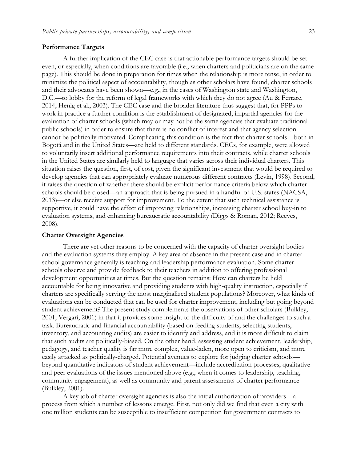#### **Performance Targets**

A further implication of the CEC case is that actionable performance targets should be set even, or especially, when conditions are favorable (i.e., when charters and politicians are on the same page). This should be done in preparation for times when the relationship is more tense, in order to minimize the political aspect of accountability, though as other scholars have found, charter schools and their advocates have been shown—e.g., in the cases of Washington state and Washington, D.C.—to lobby for the reform of legal frameworks with which they do not agree (Au & Ferrare, 2014; Henig et al., 2003). The CEC case and the broader literature thus suggest that, for PPPs to work in practice a further condition is the establishment of designated, impartial agencies for the evaluation of charter schools (which may or may not be the same agencies that evaluate traditional public schools) in order to ensure that there is no conflict of interest and that agency selection cannot be politically motivated. Complicating this condition is the fact that charter schools—both in Bogotá and in the United States—are held to different standards. CECs, for example, were allowed to voluntarily insert additional performance requirements into their contracts, while charter schools in the United States are similarly held to language that varies across their individual charters. This situation raises the question, first, of cost, given the significant investment that would be required to develop agencies that can appropriately evaluate numerous different contracts (Levin, 1998). Second, it raises the question of whether there should be explicit performance criteria below which charter schools should be closed—an approach that is being pursued in a handful of U.S. states (NACSA, 2013)—or else receive support for improvement. To the extent that such technical assistance is supportive, it could have the effect of improving relationships, increasing charter school buy-in to evaluation systems, and enhancing bureaucratic accountability (Diggs & Roman, 2012; Reeves, 2008).

#### **Charter Oversight Agencies**

There are yet other reasons to be concerned with the capacity of charter oversight bodies and the evaluation systems they employ. A key area of absence in the present case and in charter school governance generally is teaching and leadership performance evaluation. Some charter schools observe and provide feedback to their teachers in addition to offering professional development opportunities at times. But the question remains: How can charters be held accountable for being innovative and providing students with high-quality instruction, especially if charters are specifically serving the most marginalized student populations? Moreover, what kinds of evaluations can be conducted that can be used for charter improvement, including but going beyond student achievement? The present study complements the observations of other scholars (Bulkley, 2001; Vergari, 2001) in that it provides some insight to the difficulty of and the challenges to such a task. Bureaucratic and financial accountability (based on feeding students, selecting students, inventory, and accounting audits) are easier to identify and address, and it is more difficult to claim that such audits are politically-biased. On the other hand, assessing student achievement, leadership, pedagogy, and teacher quality is far more complex, value-laden, more open to criticism, and more easily attacked as politically-charged. Potential avenues to explore for judging charter schools beyond quantitative indicators of student achievement—include accreditation processes, qualitative and peer evaluations of the issues mentioned above (e.g., when it comes to leadership, teaching, community engagement), as well as community and parent assessments of charter performance (Bulkley, 2001).

A key job of charter oversight agencies is also the initial authorization of providers—a process from which a number of lessons emerge. First, not only did we find that even a city with one million students can be susceptible to insufficient competition for government contracts to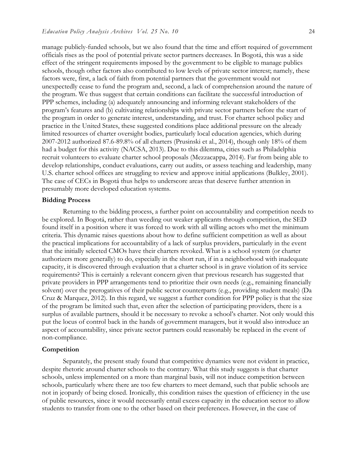manage publicly-funded schools, but we also found that the time and effort required of government officials rises as the pool of potential private sector partners decreases. In Bogotá, this was a side effect of the stringent requirements imposed by the government to be eligible to manage publics schools, though other factors also contributed to low levels of private sector interest; namely, these factors were, first, a lack of faith from potential partners that the government would not unexpectedly cease to fund the program and, second, a lack of comprehension around the nature of the program. We thus suggest that certain conditions can facilitate the successful introduction of PPP schemes, including (a) adequately announcing and informing relevant stakeholders of the program's features and (b) cultivating relationships with private sector partners before the start of the program in order to generate interest, understanding, and trust. For charter school policy and practice in the United States, these suggested conditions place additional pressure on the already limited resources of charter oversight bodies, particularly local education agencies, which during 2007-2012 authorized 87.6-89.8% of all charters (Prusinski et al., 2014), though only 18% of them had a budget for this activity (NACSA, 2013). Due to this dilemma, cities such as Philadelphia recruit volunteers to evaluate charter school proposals (Mezzacappa, 2014). Far from being able to develop relationships, conduct evaluations, carry out audits, or assess teaching and leadership, many U.S. charter school offices are struggling to review and approve initial applications (Bulkley, 2001). The case of CECs in Bogotá thus helps to underscore areas that deserve further attention in presumably more developed education systems.

#### **Bidding Process**

Returning to the bidding process, a further point on accountability and competition needs to be explored. In Bogotá, rather than weeding out weaker applicants through competition, the SED found itself in a position where it was forced to work with all willing actors who met the minimum criteria. This dynamic raises questions about how to define sufficient competition as well as about the practical implications for accountability of a lack of surplus providers, particularly in the event that the initially selected CMOs have their charters revoked. What is a school system (or charter authorizers more generally) to do, especially in the short run, if in a neighborhood with inadequate capacity, it is discovered through evaluation that a charter school is in grave violation of its service requirements? This is certainly a relevant concern given that previous research has suggested that private providers in PPP arrangements tend to prioritize their own needs (e.g., remaining financially solvent) over the prerogatives of their public sector counterparts (e.g., providing student meals) (Da Cruz & Marquez, 2012). In this regard, we suggest a further condition for PPP policy is that the size of the program be limited such that, even after the selection of participating providers, there is a surplus of available partners, should it be necessary to revoke a school's charter. Not only would this put the locus of control back in the hands of government managers, but it would also introduce an aspect of accountability, since private sector partners could reasonably be replaced in the event of non-compliance.

#### **Competition**

Separately, the present study found that competitive dynamics were not evident in practice, despite rhetoric around charter schools to the contrary. What this study suggests is that charter schools, unless implemented on a more than marginal basis, will not induce competition between schools, particularly where there are too few charters to meet demand, such that public schools are not in jeopardy of being closed. Ironically, this condition raises the question of efficiency in the use of public resources, since it would necessarily entail excess capacity in the education sector to allow students to transfer from one to the other based on their preferences. However, in the case of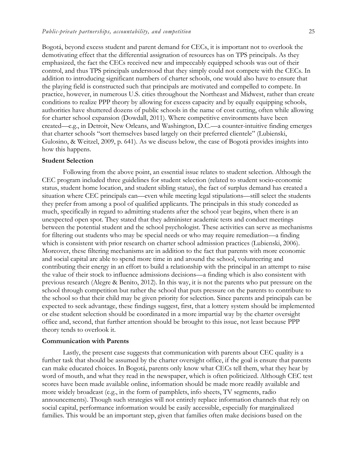Bogotá, beyond excess student and parent demand for CECs, it is important not to overlook the demotivating effect that the differential assignation of resources has on TPS principals. As they emphasized, the fact the CECs received new and impeccably equipped schools was out of their control, and thus TPS principals understood that they simply could not compete with the CECs. In addition to introducing significant numbers of charter schools, one would also have to ensure that the playing field is constructed such that principals are motivated and compelled to compete. In practice, however, in numerous U.S. cities throughout the Northeast and Midwest, rather than create conditions to realize PPP theory by allowing for excess capacity and by equally equipping schools, authorities have shuttered dozens of public schools in the name of cost cutting, often while allowing for charter school expansion (Dowdall, 2011). Where competitive environments have been created—e.g., in Detroit, New Orleans, and Washington, D.C.—a counter-intuitive finding emerges that charter schools "sort themselves based largely on their preferred clientele" (Lubienski, Gulosino, & Weitzel, 2009, p. 641). As we discuss below, the case of Bogotá provides insights into how this happens.

#### **Student Selection**

Following from the above point, an essential issue relates to student selection. Although the CEC program included three guidelines for student selection (related to student socio-economic status, student home location, and student sibling status), the fact of surplus demand has created a situation where CEC principals can—even while meeting legal stipulations—still select the students they prefer from among a pool of qualified applicants. The principals in this study conceded as much, specifically in regard to admitting students after the school year begins, when there is an unexpected open spot. They stated that they administer academic tests and conduct meetings between the potential student and the school psychologist. These activities can serve as mechanisms for filtering out students who may be special needs or who may require remediation—a finding which is consistent with prior research on charter school admission practices (Lubienski, 2006). Moreover, these filtering mechanisms are in addition to the fact that parents with more economic and social capital are able to spend more time in and around the school, volunteering and contributing their energy in an effort to build a relationship with the principal in an attempt to raise the value of their stock to influence admissions decisions—a finding which is also consistent with previous research (Alegre & Benito, 2012). In this way, it is not the parents who put pressure on the school through competition but rather the school that puts pressure on the parents to contribute to the school so that their child may be given priority for selection. Since parents and principals can be expected to seek advantage, these findings suggest, first, that a lottery system should be implemented or else student selection should be coordinated in a more impartial way by the charter oversight office and, second, that further attention should be brought to this issue, not least because PPP theory tends to overlook it.

#### **Communication with Parents**

Lastly, the present case suggests that communication with parents about CEC quality is a further task that should be assumed by the charter oversight office, if the goal is ensure that parents can make educated choices. In Bogotá, parents only know what CECs tell them, what they hear by word of mouth, and what they read in the newspaper, which is often politicized. Although CEC test scores have been made available online, information should be made more readily available and more widely broadcast (e.g., in the form of pamphlets, info sheets, TV segments, radio announcements). Though such strategies will not entirely replace information channels that rely on social capital, performance information would be easily accessible, especially for marginalized families. This would be an important step, given that families often make decisions based on the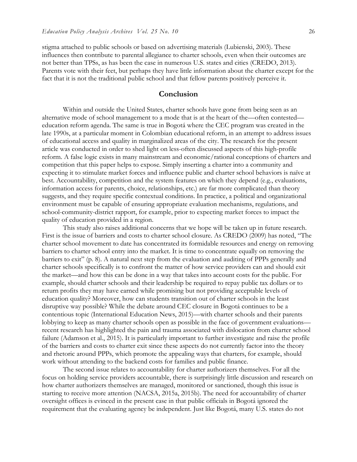stigma attached to public schools or based on advertising materials (Lubienski, 2003). These influences then contribute to parental allegiance to charter schools, even when their outcomes are not better than TPSs, as has been the case in numerous U.S. states and cities (CREDO, 2013). Parents vote with their feet, but perhaps they have little information about the charter except for the fact that it is not the traditional public school and that fellow parents positively perceive it.

## **Conclusion**

Within and outside the United States, charter schools have gone from being seen as an alternative mode of school management to a mode that is at the heart of the—often contested education reform agenda. The same is true in Bogotá where the CEC program was created in the late 1990s, at a particular moment in Colombian educational reform, in an attempt to address issues of educational access and quality in marginalized areas of the city. The research for the present article was conducted in order to shed light on less-often discussed aspects of this high-profile reform. A false logic exists in many mainstream and economic/rational conceptions of charters and competition that this paper helps to expose. Simply inserting a charter into a community and expecting it to stimulate market forces and influence public and charter school behaviors is naïve at best. Accountability, competition and the system features on which they depend (e.g., evaluations, information access for parents, choice, relationships, etc.) are far more complicated than theory suggests, and they require specific contextual conditions. In practice, a political and organizational environment must be capable of ensuring appropriate evaluation mechanisms, regulations, and school-community-district rapport, for example, prior to expecting market forces to impact the quality of education provided in a region.

This study also raises additional concerns that we hope will be taken up in future research. First is the issue of barriers and costs to charter school closure. As CREDO (2009) has noted, "The charter school movement to date has concentrated its formidable resources and energy on removing barriers to charter school entry into the market. It is time to concentrate equally on removing the barriers to exit" (p. 8). A natural next step from the evaluation and auditing of PPPs generally and charter schools specifically is to confront the matter of how service providers can and should exit the market—and how this can be done in a way that takes into account costs for the public. For example, should charter schools and their leadership be required to repay public tax dollars or to return profits they may have earned while promising but not providing acceptable levels of education quality? Moreover, how can students transition out of charter schools in the least disruptive way possible? While the debate around CEC closure in Bogotá continues to be a contentious topic (International Education News, 2015)—with charter schools and their parents lobbying to keep as many charter schools open as possible in the face of government evaluations recent research has highlighted the pain and trauma associated with dislocation from charter school failure (Adamson et al., 2015). It is particularly important to further investigate and raise the profile of the barriers and costs to charter exit since these aspects do not currently factor into the theory and rhetoric around PPPs, which promote the appealing ways that charters, for example, should work without attending to the backend costs for families and public finance.

The second issue relates to accountability for charter authorizers themselves. For all the focus on holding service providers accountable, there is surprisingly little discussion and research on how charter authorizers themselves are managed, monitored or sanctioned, though this issue is starting to receive more attention (NACSA, 2015a, 2015b). The need for accountability of charter oversight offices is evinced in the present case in that public officials in Bogotá ignored the requirement that the evaluating agency be independent. Just like Bogotá, many U.S. states do not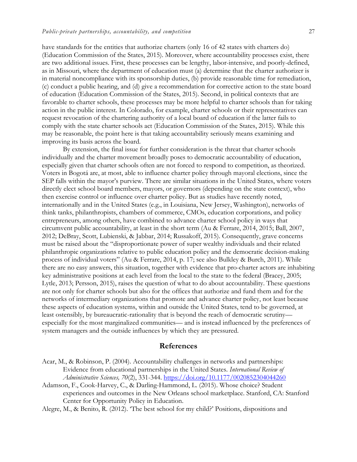have standards for the entities that authorize charters (only 16 of 42 states with charters do) (Education Commission of the States, 2015). Moreover, where accountability processes exist, there are two additional issues. First, these processes can be lengthy, labor-intensive, and poorly-defined, as in Missouri, where the department of education must (a) determine that the charter authorizer is in material noncompliance with its sponsorship duties, (b) provide reasonable time for remediation, (c) conduct a public hearing, and (d) give a recommendation for corrective action to the state board of education (Education Commission of the States, 2015). Second, in political contexts that are favorable to charter schools, these processes may be more helpful to charter schools than for taking action in the public interest. In Colorado, for example, charter schools or their representatives can request revocation of the chartering authority of a local board of education if the latter fails to comply with the state charter schools act (Education Commission of the States, 2015). While this may be reasonable, the point here is that taking accountability seriously means examining and improving its basis across the board.

By extension, the final issue for further consideration is the threat that charter schools individually and the charter movement broadly poses to democratic accountability of education, especially given that charter schools often are not forced to respond to competition, as theorized. Voters in Bogotá are, at most, able to influence charter policy through mayoral elections, since the SEP falls within the mayor's purview. There are similar situations in the United States, where voters directly elect school board members, mayors, or governors (depending on the state context), who then exercise control or influence over charter policy. But as studies have recently noted, internationally and in the United States (e.g., in Louisiana, New Jersey, Washington), networks of think tanks, philanthropists, chambers of commerce, CMOs, education corporations, and policy entrepreneurs, among others, have combined to advance charter school policy in ways that circumvent public accountability, at least in the short term (Au & Ferrare, 2014, 2015; Ball, 2007, 2012; DeBray, Scott, Lubienski, & Jabbar, 2014; Russakoff, 2015). Consequently, grave concerns must be raised about the "disproportionate power of super wealthy individuals and their related philanthropic organizations relative to public education policy and the democratic decision-making process of individual voters" (Au & Ferrare, 2014, p. 17; see also Bulkley & Burch, 2011). While there are no easy answers, this situation, together with evidence that pro-charter actors are inhabiting key administrative positions at each level from the local to the state to the federal (Bracey, 2005; Lytle, 2013; Persson, 2015), raises the question of what to do about accountability. These questions are not only for charter schools but also for the offices that authorize and fund them and for the networks of intermediary organizations that promote and advance charter policy, not least because these aspects of education systems, within and outside the United States, tend to be governed, at least ostensibly, by bureaucratic-rationality that is beyond the reach of democratic scrutiny especially for the most marginalized communities— and is instead influenced by the preferences of system managers and the outside influences by which they are pressured.

## **References**

- Acar, M., & Robinson, P. (2004). Accountability challenges in networks and partnerships: Evidence from educational partnerships in the United States. *International Review of Administrative Sciences, 70*(2), 331-344. <https://doi.org/10.1177/0020852304044260>
- Adamson, F., Cook-Harvey, C., & Darling-Hammond, L. (2015). Whose choice? Student experiences and outcomes in the New Orleans school marketplace. Stanford, CA: Stanford Center for Opportunity Policy in Education.

Alegre, M., & Benito, R. (2012). 'The best school for my child?' Positions, dispositions and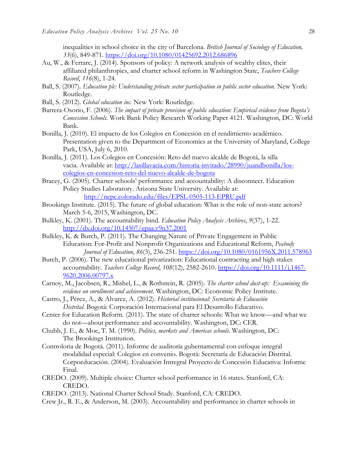inequalities in school choice in the city of Barcelona. *British Journal of Sociology of Education, 33*(6), 849-871.<https://doi.org/10.1080/01425692.2012.686896>

- Au, W., & Ferrare, J. (2014). Sponsors of policy: A network analysis of wealthy elites, their affiliated philanthropies, and charter school reform in Washington State, *Teachers College Record*, *116*(8), 1-24.
- Ball, S. (2007). *Education plc: Understanding private sector participation in public sector education*. New York: Routledge.
- Ball, S. (2012). *Global education inc.* New York: Routledge.
- Barrera-Osorio, F. (2006). *The impact of private provision of public education: Empirical evidence from Bogota's Concession Schools.* Work Bank Policy Research Working Paper 4121. Washington, DC: World Bank.
- Bonilla, J. (2010). El impacto de los Colegios en Concesión en el rendimiento académico. Presentation given to the Department of Economics at the University of Maryland, College Park, USA, July 6, 2010.
- Bonilla, J. (2011). Los Colegios en Concesión: Reto del nuevo alcalde de Bogotá, la silla vacia. Available at: [http://lasillavacia.com/historia-invitado/28990/juandbonilla/los](http://lasillavacia.com/historia-invitado/28990/juandbonilla/los-colegios-en-concesion-reto-del-nuevo-alcalde-de-bogota)[colegios-en-concesion-reto-del-nuevo-alcalde-de-bogota](http://lasillavacia.com/historia-invitado/28990/juandbonilla/los-colegios-en-concesion-reto-del-nuevo-alcalde-de-bogota)
- Bracey, G. (2005). Charter schools' performance and accountability: A disconnect. Education Policy Studies Laboratory. Arizona State University. Available at: <http://nepc.colorado.edu/files/EPSL-0505-113-EPRU.pdf>
- Brookings Institute. (2015). The future of global education: What is the role of non-state actors? March 5-6, 2015, Washington, DC.
- Bulkley, K. (2001). The accountability bind. *Education Policy Analysis Archives*, *9*(37), 1-22. <http://dx.doi.org/10.14507/epaa.v9n37.2001>
- Bulkley, K. & Burch, P. (2011). The Changing Nature of Private Engagement in Public Education: For-Profit and Nonprofit Organizations and Educational Reform, *Peabody Journal of Education*, *86*(3), 236-251. <https://doi.org/10.1080/0161956X.2011.578963>
- Burch, P. (2006). The new educational privatization: Educational contracting and high stakes accountability. *Teachers College Record*, *108*(12), 2582-2610. [https://doi.org/10.1111/j.1467-](https://doi.org/10.1111/j.1467-9620.2006.00797.x) [9620.2006.00797.x](https://doi.org/10.1111/j.1467-9620.2006.00797.x)
- Carnoy, M., Jacobsen, R., Mishel, L., & Rothstein, R. (2005). *The charter school dust-up: Examining the evidence on enrollment and achievement.* Washington, DC: Economic Policy Institute.
- Castro, J., Pérez, A., & Alvarez, A. (2012). *Historial institucional: Secretaría de Educación Distrital*. Bogotá: Corporación Internacional para El Desarrollo Educativo.
- Center for Education Reform. (2011). The state of charter schools: What we know—and what we do not—about performance and accountability. Washington, DC: CER.
- Chubb, J. E., & Moe, T. M. (1990). *Politics, markets and Americas schools*. Washington, DC: The Brookings Institution.
- Controloria de Bogotá. (2011). Informe de auditoría gubernamental con enfoque integral modalidad especial: Colegios en convenio. Bogotá: Secretaría de Educación Distrital. Corpoeducación. (2004). Evaluación Intregral Proyecto de Concesión Educativa: Informe Final.
- CREDO. (2009). Multiple choice: Charter school performance in 16 states. Stanford, CA: CREDO.
- CREDO. (2013). National Charter School Study. Stanford, CA: CREDO.
- Crew Jr., R. E., & Anderson, M. (2003). Accountability and performance in charter schools in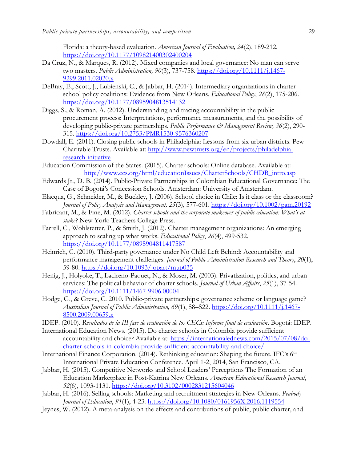Florida: a theory-based evaluation. *American Journal of Evaluation, 24*(2), 189-212. <https://doi.org/10.1177/109821400302400204>

- Da Cruz, N., & Marques, R. (2012). Mixed companies and local governance: No man can serve two masters. *Public Administration, 90*(3), 737-758. [https://doi.org/10.1111/j.1467-](https://doi.org/10.1111/j.1467-9299.2011.02020.x) [9299.2011.02020.x](https://doi.org/10.1111/j.1467-9299.2011.02020.x)
- DeBray, E., Scott, J., Lubienski, C., & Jabbar, H. (2014). Intermediary organizations in charter school policy coalitions: Evidence from New Orleans. *Educational Policy*, *28*(2), 175-206. <https://doi.org/10.1177/0895904813514132>
- Diggs, S., & Roman, A. (2012). Understanding and tracing accountability in the public procurement process: Interpretations, performance measurements, and the possibility of developing public-private partnerships. *Public Performance & Management Review*, 36(2), 290-315. <https://doi.org/10.2753/PMR1530-9576360207>
- Dowdall, E. (2011). Closing public schools in Philadelphia: Lessons from six urban districts. Pew Charitable Trusts. Available at: [http://www.pewtrusts.org/en/projects/philadelphia](http://www.pewtrusts.org/en/projects/philadelphia-research-initiative)[research-initiative](http://www.pewtrusts.org/en/projects/philadelphia-research-initiative)
- Education Commission of the States. (2015). Charter schools: Online database. Available at: [http://www.ecs.org/html/educationIssues/CharterSchools/CHDB\\_intro.asp](http://www.ecs.org/html/educationIssues/CharterSchools/CHDB_intro.asp)
- Edwards Jr., D. B. (2014). Public-Private Partnerships in Colombian Educational Governance: The Case of Bogotá's Concession Schools. Amsterdam: University of Amsterdam.
- Elacqua, G., Schneider, M., & Buckley, J. (2006). School choice in Chile: Is it class or the classroom? *Journal of Policy Analysis and Management, 25*(3), 577-601. <https://doi.org/10.1002/pam.20192>
- Fabricant, M., & Fine, M. (2012). *Charter schools and the corporate makeover of public education: What's at stake?* New York: Teachers College Press.
- Farrell, C., Wohlstetter, P., & Smith, J. (2012). Charter management organizations: An emerging approach to scaling up what works. *Educational Policy*, *26*(4), 499-532. <https://doi.org/10.1177/0895904811417587>
- Heinrich, C. (2010). Third-party governance under No Child Left Behind: Accountability and performance management challenges. *Journal of Public Administration Research and Theory*, *20*(1), 59-80. <https://doi.org/10.1093/jopart/mup035>
- Henig, J., Holyoke, T., Lacireno-Paquet, N., & Moser, M. (2003). Privatization, politics, and urban services: The political behavior of charter schools. *Journal of Urban Affairs*, *25*(1), 37-54. <https://doi.org/10.1111/1467-9906.00004>
- Hodge, G., & Greve, C. 2010. Public-private partnerships: governance scheme or language game? *Australian Journal of Public Administration, 69*(1), S8–S22. [https://doi.org/10.1111/j.1467-](https://doi.org/10.1111/j.1467-8500.2009.00659.x) [8500.2009.00659.x](https://doi.org/10.1111/j.1467-8500.2009.00659.x)
- IDEP. (2010). *Resultados de la III fase de evaluación de los CECs: Informe final de evaluación*. Bogotá: IDEP.
- International Education News. (2015). Do charter schools in Colombia provide sufficient accountability and choice? Available at: [https://internationalednews.com/2015/07/08/do](https://internationalednews.com/2015/07/08/do-charter-schools-in-colombia-provide-sufficient-accountability-and-choice/)[charter-schools-in-colombia-provide-sufficient-accountability-and-choice/](https://internationalednews.com/2015/07/08/do-charter-schools-in-colombia-provide-sufficient-accountability-and-choice/)
- International Finance Corporation. (2014). Rethinking education: Shaping the future. IFC's  $6<sup>th</sup>$ International Private Education Conference. April 1-2, 2014, San Francisco, CA.
- Jabbar, H. (2015). Competitive Networks and School Leaders' Perceptions The Formation of an Education Marketplace in Post-Katrina New Orleans. *American Educational Research Journal*, *52*(6), 1093-1131. <https://doi.org/10.3102/0002831215604046>
- Jabbar, H. (2016). Selling schools: Marketing and recruitment strategies in New Orleans. *Peabody Journal of Education*, *91*(1), 4-23. <https://doi.org/10.1080/0161956X.2016.1119554>
- Jeynes, W. (2012). A meta-analysis on the effects and contributions of public, public charter, and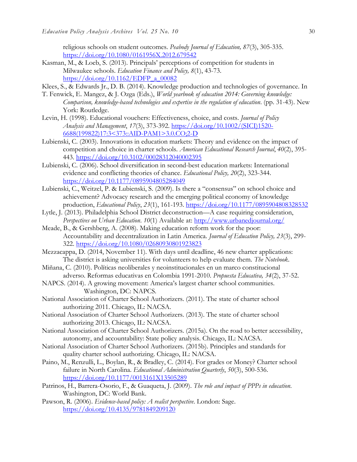religious schools on student outcomes. *Peabody Journal of Education, 87*(3), 305-335. <https://doi.org/10.1080/0161956X.2012.679542>

Kasman, M., & Loeb, S. (2013). Principals' perceptions of competition for students in Milwaukee schools. *Education Finance and Policy, 8*(1), 43-73. [https://doi.org/10.1162/EDFP\\_a\\_00082](https://doi.org/10.1162/EDFP_a_00082)

Klees, S., & Edwards Jr., D. B. (2014). Knowledge production and technologies of governance. In

- T. Fenwick, E. Mangez, & J. Ozga (Eds.), *World yearbook of education 2014: Governing knowledge: Comparison, knowledge-based technologies and expertise in the regulation of education*. (pp. 31-43). New York: Routledge.
- Levin, H. (1998). Educational vouchers: Effectiveness, choice, and costs. *Journal of Policy Analysis and Management*, *17*(3), 373-392. [https://doi.org/10.1002/\(SICI\)1520-](https://doi.org/10.1002/(SICI)1520-6688(199822)17:3%3c373::AID-PAM1%3e3.0.CO;2-D) [6688\(199822\)17:3<373::AID-PAM1>3.0.CO;2-D](https://doi.org/10.1002/(SICI)1520-6688(199822)17:3%3c373::AID-PAM1%3e3.0.CO;2-D)
- Lubienski, C. (2003). Innovations in education markets: Theory and evidence on the impact of competition and choice in charter schools. *American Educational Research Journal*, *40*(2), 395- 443.<https://doi.org/10.3102/00028312040002395>
- Lubienski, C. (2006). School diversification in second-best education markets: International evidence and conflicting theories of chance. *Educational Policy, 20*(2), 323-344. <https://doi.org/10.1177/0895904805284049>
- Lubienski, C., Weitzel, P. & Lubienski, S. (2009). Is there a "consensus" on school choice and achievement? Advocacy research and the emerging political economy of knowledge production, *Educational Policy*, *23*(1), 161-193.<https://doi.org/10.1177/0895904808328532>
- Lytle, J. (2013). Philadelphia School District deconstruction—A case requiring consideration, *Perspectives on Urban Education*. *10*(1) Available at:<http://www.urbanedjournal.org/>
- Meade, B., & Gershberg, A. (2008). Making education reform work for the poor: Accountability and decentralization in Latin America. *Journal of Education Policy, 23*(3), 299- 322. <https://doi.org/10.1080/02680930801923823>
- Mezzacappa, D. (2014, November 11). With days until deadline, 46 new charter applications: The district is asking universities for volunteers to help evaluate them. *The Notebook*.
- Miñana, C. (2010). Políticas neoliberales y neoinstitucionales en un marco constitucional adverso. Reformas educativas en Colombia 1991-2010. *Propuesta Educativa, 34*(2), 37-52.
- NAPCS. (2014). A growing movement: America's largest charter school communities. Washington, DC: NAPCS.
- National Association of Charter School Authorizers. (2011). The state of charter school authorizing 2011. Chicago, IL: NACSA.
- National Association of Charter School Authorizers. (2013). The state of charter school authorizing 2013. Chicago, IL: NACSA.
- National Association of Charter School Authorizers. (2015a). On the road to better accessibility, autonomy, and accountability: State policy analysis. Chicago, IL: NACSA.
- National Association of Charter School Authorizers. (2015b). Principles and standards for quality charter school authorizing. Chicago, IL: NACSA.
- Paino, M., Renzulli, L., Boylan, R., & Bradley, C. (2014). For grades or Money? Charter school failure in North Carolina. *Educational Administration Quarterly*, *50*(3), 500-536. <https://doi.org/10.1177/0013161X13505289>
- Patrinos, H., Barrera-Osorio, F., & Guaqueta, J. (2009). *The role and impact of PPPs in education*. Washington, DC: World Bank.
- Pawson, R. (2006). *Evidence-based policy: A realist perspective*. London: Sage. <https://doi.org/10.4135/9781849209120>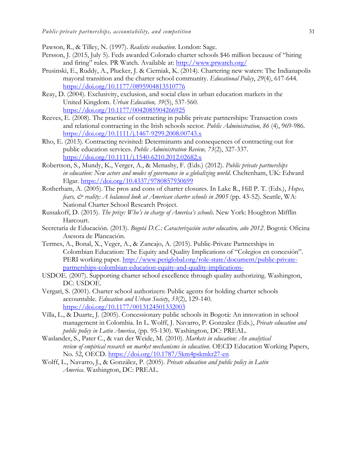Pawson, R., & Tilley, N. (1997). *Realistic evaluation*. London: Sage.

- Persson, J. (2015, July 5). Feds awarded Colorado charter schools \$46 million because of "hiring and firing" rules. PR Watch. Available at: <http://www.prwatch.org/>
- Prusinski, E., Ruddy, A., Plucker, J. & Cierniak, K. (2014). Chartering new waters: The Indianapolis mayoral transition and the charter school community. *Educational Policy*, *29*(4), 617-644. <https://doi.org/10.1177/0895904813510776>
- Reay, D. (2004). Exclusivity, exclusion, and social class in urban education markets in the United Kingdom. *Urban Education, 39*(5), 537-560. <https://doi.org/10.1177/0042085904266925>
- Reeves, E. (2008). The practice of contracting in public private partnerships: Transaction costs and relational contracting in the Irish schools sector. *Public Administration, 86* (4), 969-986. <https://doi.org/10.1111/j.1467-9299.2008.00743.x>
- Rho, E. (2013). Contracting revisited: Determinants and consequences of contracting out for public education services. *Public Administration Review, 73*(2), 327-337. <https://doi.org/10.1111/j.1540-6210.2012.02682.x>
- Robertson, S., Mundy, K., Verger, A., & Menashy, F. (Eds.) (2012). *Public private partnerships in education: New actors and modes of governance in a globalizing world*. Cheltenham, UK: Edward Elgar. <https://doi.org/10.4337/9780857930699>
- Rotherham, A. (2005). The pros and cons of charter closures. In Lake R., Hill P. T. (Eds.), *Hopes, fears,*  $\breve{\mathcal{O}}$  *reality: A balanced look at American charter schools in 2005* (pp. 43-52). Seattle, WA: National Charter School Research Project.
- Russakoff, D. (2015). *The prize: Who's in charge of America's schools*. New York: Houghton Mifflin Harcourt.
- Secretaría de Educación. (2013). *Bogotá D.C.: Caracterización sector educativo, año 2012*. Bogotá: Oficina Asesora de Planeación.
- Termes, A., Bonal, X., Veger, A., & Zancajo, A. (2015). Public-Private Partnerships in Colombian Education: The Equity and Quality Implications of "Colegios en concesión". PERI working paper. [http://www.periglobal.org/role-state/document/public-private](http://www.periglobal.org/role-state/document/public-private-partnerships-colombian-education-equity-and-quality-implications-)[partnerships-colombian-education-equity-and-quality-implications-](http://www.periglobal.org/role-state/document/public-private-partnerships-colombian-education-equity-and-quality-implications-)
- USDOE. (2007). Supporting charter school excellence through quality authorizing. Washington, DC: USDOE.
- Vergari, S. (2001). Charter school authorizers: Public agents for holding charter schools accountable. *Education and Urban Society*, *33*(2), 129-140. <https://doi.org/10.1177/0013124501332003>
- Villa, L., & Duarte, J. (2005). Concessionary public schools in Bogotá: An innovation in school management in Colombia. In L. Wolff, J. Navarro, P. Gonzalez (Eds.), *Private education and public policy in Latin America*, (pp. 95-130). Washington, DC: PREAL.
- Waslander, S., Pater C., & van der Weide, M. (2010). *Markets in education: An analytical review of empirical research on market mechanisms in education*. OECD Education Working Papers, No. 52, OECD.<https://doi.org/10.1787/5km4pskmkr27-en>
- Wolff, L., Navarro, J., & González, P. (2005). *Private education and public policy in Latin America*. Washington, DC: PREAL.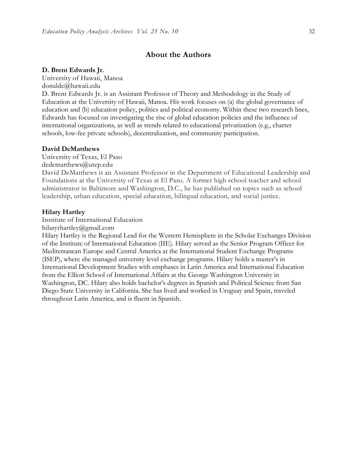## **About the Authors**

## **D. Brent Edwards Jr.**

University of Hawaii, Manoa donalde@hawaii.edu

D. Brent Edwards Jr. is an Assistant Professor of Theory and Methodology in the Study of Education at the University of Hawaii, Manoa. His work focuses on (a) the global governance of education and (b) education policy, politics and political economy. Within these two research lines, Edwards has focused on investigating the rise of global education policies and the influence of international organizations, as well as trends related to educational privatization (e.g., charter schools, low-fee private schools), decentralization, and community participation.

#### **David DeMatthews**

University of Texas, El Paso dedematthews@utep.edu David DeMatthews is an Assistant Professor in the Department of Educational Leadership and Foundations at the University of Texas at El Paso. A former high school teacher and school administrator in Baltimore and Washington, D.C., he has published on topics such as school leadership, urban education, special education, bilingual education, and social justice.

#### **Hilary Hartley**

Institute of International Education

hilaryrhartley@gmail.com

Hilary Hartley is the Regional Lead for the Western Hemisphere in the Scholar Exchanges Division of the Institute of International Education (IIE). Hilary served as the Senior Program Officer for Mediterranean Europe and Central America at the International Student Exchange Programs (ISEP), where she managed university level exchange programs. Hilary holds a master's in International Development Studies with emphases in Latin America and International Education from the Elliott School of International Affairs at the George Washington University in Washington, DC. Hilary also holds bachelor's degrees in Spanish and Political Science from San Diego State University in California. She has lived and worked in Uruguay and Spain, traveled throughout Latin America, and is fluent in Spanish.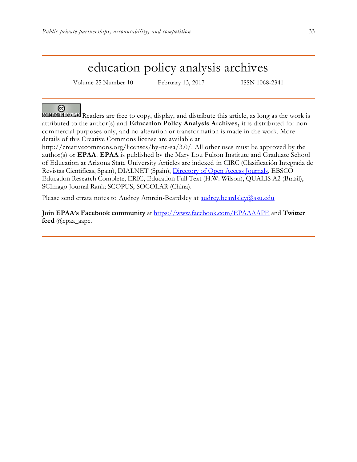## education policy analysis archives

Volume 25 Number 10 February 13, 2017 ISSN 1068-2341

## ര

SOME RIGHTS RESERVED Readers are free to copy, display, and distribute this article, as long as the work is attributed to the author(s) and **Education Policy Analysis Archives,** it is distributed for noncommercial purposes only, and no alteration or transformation is made in the work. More details of this Creative Commons license are available at

http://creativecommons.org/licenses/by-nc-sa/3.0/. All other uses must be approved by the author(s) or **EPAA**. **EPAA** is published by the Mary Lou Fulton Institute and Graduate School of Education at Arizona State University Articles are indexed in CIRC (Clasificación Integrada de Revistas Científicas, Spain), DIALNET (Spain), [Directory of Open Access Journals,](http://www.doaj.org/) EBSCO Education Research Complete, ERIC, Education Full Text (H.W. Wilson), QUALIS A2 (Brazil), SCImago Journal Rank; SCOPUS, SOCOLAR (China).

Please send errata notes to Audrey Amrein-Beardsley at [audrey.beardsley@asu.edu](mailto:audrey.beardsley@asu.edu)

**Join EPAA's Facebook community** at<https://www.facebook.com/EPAAAAPE> and **Twitter feed** @epaa\_aape.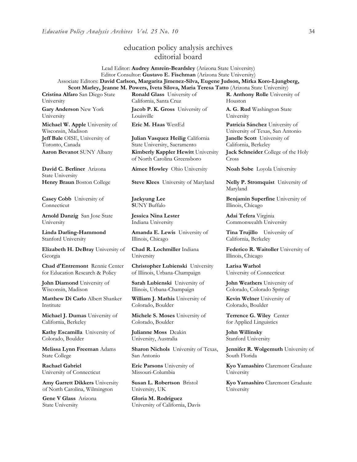## education policy analysis archives editorial board

Lead Editor: **Audrey Amrein-Beardsley** (Arizona State University) Editor Consultor: **Gustavo E. Fischman** (Arizona State University) Associate Editors: **David Carlson, Margarita Jimenez-Silva, Eugene Judson, Mirka Koro-Ljungberg, Scott Marley, Jeanne M. Powers, Iveta Silova, Maria Teresa Tatto** (Arizona State University)

**Cristina Alfaro** San Diego State University

**Gary Anderson** New York University

**Michael W. Apple** University of Wisconsin, Madison **Jeff Bale** OISE, University of Toronto, Canada

**David C. Berliner** Arizona State University

**Casey Cobb** University of Connecticut

**Arnold Danzig** San Jose State University

**Linda Darling-Hammond**  Stanford University

**Elizabeth H. DeBray** University of Georgia

**Chad d'Entremont** Rennie Center for Education Research & Policy

**John Diamond** University of Wisconsin, Madison

**Matthew Di Carlo** Albert Shanker Institute

**Michael J. Dumas** University of California, Berkeley

**Kathy Escamilla** University of Colorado, Boulder

**Melissa Lynn Freeman** Adams State College

**Rachael Gabriel** University of Connecticut

**Amy Garrett Dikkers** University of North Carolina, Wilmington

**Gene V Glass** Arizona State University

**Ronald Glass** University of California, Santa Cruz

**Jacob P. K. Gross** University of Louisville

**Julian Vasquez Heilig** California State University, Sacramento **Aaron Bevanot** SUNY Albany **Kimberly Kappler Hewitt** University of North Carolina Greensboro

**Aimee Howley** Ohio University **Noah Sobe** Loyola University

**Henry Braun** Boston College **Steve Klees** University of Maryland **Nelly P. Stromquist** University of

**Jaekyung Lee S**UNY Buffalo

**Jessica Nina Lester** Indiana University

**Amanda E. Lewis** University of Illinois, Chicago

**Chad R. Lochmiller** Indiana University

**Christopher Lubienski** University of Illinois, Urbana-Champaign

**Sarah Lubienski** University of Illinois, Urbana-Champaign

**William J. Mathis** University of Colorado, Boulder

**Michele S. Moses** University of Colorado, Boulder

**Julianne Moss** Deakin University, Australia

**Sharon Nichols** University of Texas, San Antonio

**Eric Parsons** University of Missouri-Columbia

**Susan L. Robertson** Bristol University, UK

**Gloria M. Rodriguez** University of California, Davis **R. Anthony Rolle** University of Houston

**A. G. Rud** Washington State University

**Eric M. Haas** WestEd **Patricia Sánchez** University of University of Texas, San Antonio **Janelle Scott** University of California, Berkeley

> **Jack Schneider** College of the Holy Cross

Maryland

**Benjamin Superfine** University of Illinois, Chicago

**Adai Tefera** Virginia Commonwealth University

**Tina Trujillo** University of California, Berkeley

**Federico R. Waitoller** University of Illinois, Chicago

**Larisa Warhol** University of Connecticut

**John Weathers** University of Colorado, Colorado Springs

**Kevin Welner** University of Colorado, Boulder

**Terrence G. Wiley** Center for Applied Linguistics

**John Willinsky**  Stanford University

**Jennifer R. Wolgemuth** University of South Florida

**Kyo Yamashiro** Claremont Graduate University

**Kyo Yamashiro** Claremont Graduate University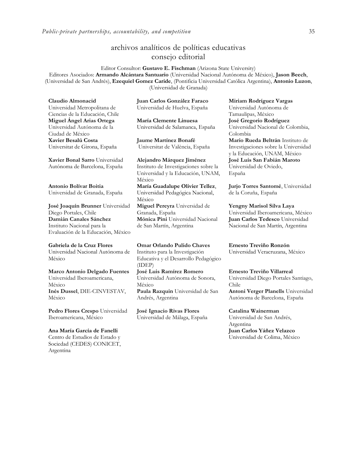## archivos analíticos de políticas educativas consejo editorial

Editor Consultor: **Gustavo E. Fischman** (Arizona State University) Editores Asociados: **Armando Alcántara Santuario** (Universidad Nacional Autónoma de México), **Jason Beech**, (Universidad de San Andrés), **Ezequiel Gomez Caride**, (Pontificia Universidad Católica Argentina), **Antonio Luzon**, (Universidad de Granada)

**Claudio Almonacid** Universidad Metropolitana de Ciencias de la Educación, Chile **Miguel Ángel Arias Ortega**  Universidad Autónoma de la Ciudad de México **Xavier Besalú Costa**  Universitat de Girona, España

**[Xavier Bonal](javascript:openRTWindow() Sarro** Universidad Autónoma de Barcelona, España

**[Antonio Bolívar](javascript:openRTWindow() Boitia** Universidad de Granada, España

**[José Joaquín Brunner](javascript:openRTWindow()** Universidad Diego Portales, Chile **[Damián Canales Sánchez](javascript:openRTWindow()** Instituto Nacional para la Evaluación de la Educación, México

#### **Gabriela de la Cruz Flores** Universidad Nacional Autónoma de

México

**[Marco Antonio Delgado Fuentes](javascript:openRTWindow()** Universidad Iberoamericana, México **[Inés Dussel](javascript:openRTWindow()**, DIE-CINVESTAV, México

**[Pedro Flores Crespo](javascript:openRTWindow()** Universidad Iberoamericana, México

#### **Ana María García de Fanelli**

Centro de Estudios de Estado y Sociedad (CEDES) CONICET, Argentina

**Juan Carlos González Faraco**  Universidad de Huelva, España

**María Clemente Linuesa**  Universidad de Salamanca, España

**Jaume Martínez Bonafé** Universitat de València, España

**Alejandro Márquez Jiménez**  Instituto de Investigaciones sobre la Universidad y la Educación, UNAM, México **María Guadalupe Olivier Tellez**, Universidad Pedagógica Nacional, México **[Miguel Pereyra](javascript:openRTWindow()** Universidad de Granada, España **[Mónica Pini](javascript:openRTWindow()** Universidad Nacional

de San Martín, Argentina

**Omar Orlando Pulido Chaves** Instituto para la Investigación Educativa y el Desarrollo Pedagógico (IDEP) **[José Luis Ramírez](javascript:openRTWindow() Romero**

Universidad Autónoma de Sonora, México **[Paula Razquin](javascript:openRTWindow()** Universidad de San Andrés, Argentina

**José Ignacio Rivas Flores** Universidad de Málaga, España **[Miriam Rodríguez Vargas](javascript:openRTWindow()** Universidad Autónoma de Tamaulipas, México **José Gregorio Rodríguez**  Universidad Nacional de Colombia, Colombia **[Mario Rueda Beltrán](javascript:openRTWindow()** Instituto de Investigaciones sobre la Universidad y la Educación, UNAM, México **José Luis San Fabián Maroto**  Universidad de Oviedo, España

**[Jurjo Torres Santomé](javascript:openRTWindow()**, Universidad de la Coruña, España

**[Yengny Marisol Silva Laya](javascript:openRTWindow()** Universidad Iberoamericana, México **Juan Carlos Tedesco** Universidad Nacional de San Martín, Argentina

**Ernesto Treviño Ronzón** Universidad Veracruzana, México

**[Ernesto Treviño](javascript:openRTWindow() Villarreal** Universidad Diego Portales Santiago, Chile **[Antoni Verger Planells](javascript:openRTWindow()** Universidad

Autónoma de Barcelona, España

#### **[Catalina Wainerman](javascript:openRTWindow()**

Universidad de San Andrés, Argentina **Juan Carlos Yáñez Velazco** Universidad de Colima, México